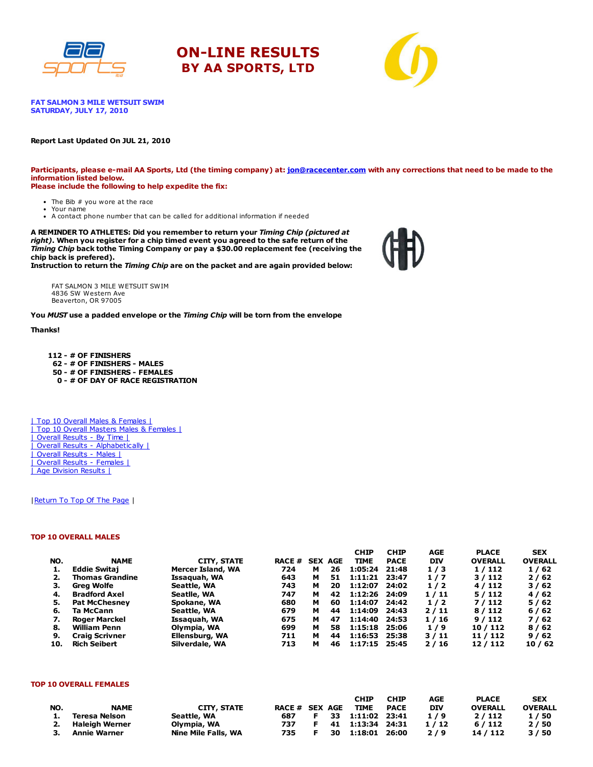





**FAT SALMON 3 MILE WETSUIT SWIM** SATURDAY, JULY 17, 2010

#### Report Last Updated On JUL 21, 2010

Participants, please e-mail AA Sports, Ltd (the timing company) at: [jon@racecenter.com](mailto:jon@racecenter.com?subject=Fat%20Salmon%203%20Mile%20Wetsuit%20Swim%20Race%20Inquiry) with any corrections that need to be made to the information listed below. Please include the following to help expedite the fix:

- The Bib # you wore at the race Your name
- A contact phone number that can be called for additional information if needed

A REMINDER TO ATHLETES: Did you remember to return your Timing Chip (pictured at right). When you register for a chip timed event you agreed to the safe return of the Timing Chip back tothe Timing Company or pay a \$30.00 replacement fee (receiving the chip back is prefered).

Instruction to return the Timing Chip are on the packet and are again provided below:

FAT SALMON 3 MILE WETSUIT SWIM 4836 SW Western Ave Beaverton, OR 97005

You MUST use a padded envelope or the Timing Chip will be torn from the envelope

#### Thanks!

 - # OF FINISHERS - # OF FINISHERS - MALES - # OF FINISHERS - FEMALES - # OF DAY OF RACE REGISTRATION

| Top 10 Overall Males & Females | | Top 10 Overall Masters Males & Females | | Overall Results - By Time | | Overall Results - Alphabetically | | Overall Results - Males | | Overall Results - Females | | Age Division Results |

#### | Return To Top Of The Page |

#### TOP 10 OVERALL MALES

|     |                        |                    |               |   |                | <b>CHIP</b>   | <b>CHIP</b> | <b>AGE</b> | <b>PLACE</b>   | <b>SEX</b>     |
|-----|------------------------|--------------------|---------------|---|----------------|---------------|-------------|------------|----------------|----------------|
| NO. | <b>NAME</b>            | <b>CITY, STATE</b> | <b>RACE #</b> |   | <b>SEX AGE</b> | <b>TIME</b>   | <b>PACE</b> | <b>DIV</b> | <b>OVERALL</b> | <b>OVERALL</b> |
| 1.  | <b>Eddie Switai</b>    | Mercer Island, WA  | 724           | м | 26             | 1:05:24       | 21:48       | 1/3        | 1/112          | 1/62           |
|     | <b>Thomas Grandine</b> | Issaquah, WA       | 643           | м | 51             | 1:11:21       | 23:47       | 1/7        | 3/112          | 2/62           |
| з.  | Grea Wolfe             | Seattle, WA        | 743           | м | 20             | 1:12:07       | 24:02       | 1/2        | 4/112          | 3/62           |
| 4.  | <b>Bradford Axel</b>   | Seatlle, WA        | 747           | м | 42             | 1:12:26 24:09 |             | 1/11       | 5/112          | 4/62           |
| 5.  | <b>Pat McChesney</b>   | Spokane, WA        | 680           | м | 60             | 1:14:07       | 24:42       | 1/2        | 7/112          | 5/62           |
| 6.  | Ta McCann              | Seattle, WA        | 679           | м | 44             | 1:14:09       | 24:43       | 2/11       | 8/112          | 6/62           |
| 7.  | Roger Marckel          | Issaquah, WA       | 675           | м | 47             | 1:14:40       | 24:53       | 1/16       | 9/112          | 7/62           |
| 8.  | William Penn           | Olympia, WA        | 699           | м | 58             | 1:15:18       | 25:06       | 1/9        | 10 / 112       | 8/62           |
| 9.  | <b>Craig Scrivner</b>  | Ellensburg, WA     | 711           | м | 44             | 1:16:53       | 25:38       | 3/11       | 11 / 112       | 9/62           |
| 10. | <b>Rich Seibert</b>    | Silverdale, WA     | 713           | м | 46             | 1:17:15       | 25:45       | 2/16       | 12/112         | 10/62          |

#### TOP 10 OVERALL FEMALES

|     |                   |                     |                |    | CHIP             | <b>CHIP</b> | AGE  | <b>PLACE</b>   | <b>SEX</b>     |
|-----|-------------------|---------------------|----------------|----|------------------|-------------|------|----------------|----------------|
| NO. | <b>NAME</b>       | <b>CITY, STATE</b>  | RACE # SEX AGE |    | TIME             | <b>PACE</b> | DIV  | <b>OVERALL</b> | <b>OVERALL</b> |
| 1.  | Teresa Nelson     | Seattle, WA         | 687            |    | 33 1:11:02 23:41 |             | 1/9  | 2/112          | 1/50           |
|     | 2. Haleigh Werner | Olympia, WA         | 737            |    | 41 1:13:34 24:31 |             | 1/12 | 6/112          | 2/50           |
| 3.  | Annie Warner      | Nine Mile Falls, WA | 735            | 30 | 1:18:01 26:00    |             | 2/9  | 14 / 112       | 3/50           |

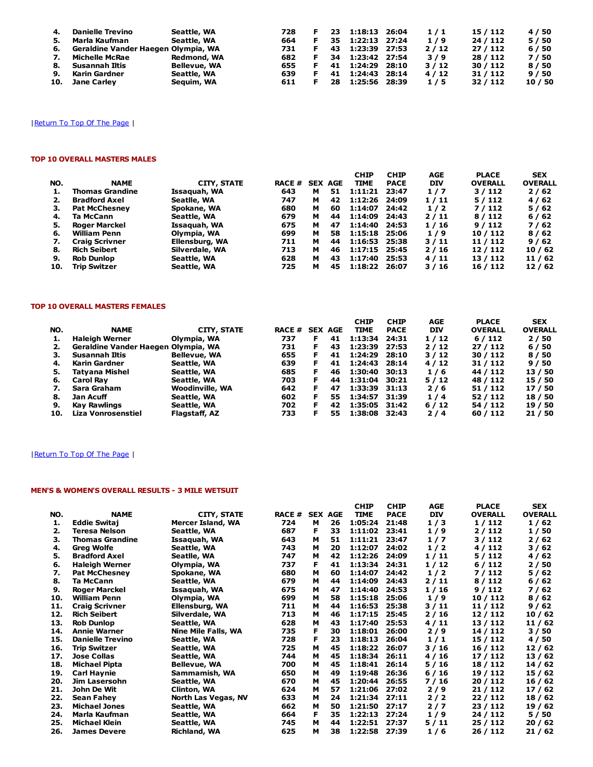| 4. | <b>Danielle Trevino</b>                | Seattle, WA  | 728 | 23  | 1:18:13 26:04 | 1/1  | 15 / 112 | 4 / 50  |
|----|----------------------------------------|--------------|-----|-----|---------------|------|----------|---------|
| 5. | Marla Kaufman                          | Seattle, WA  | 664 | 35  | 1:22:13 27:24 | 1/9  | 24/112   | 5/50    |
|    | 6. Geraldine Vander Haegen Olympia, WA |              | 731 | 43. | 1:23:39 27:53 | 2/12 | 27/112   | 6/50    |
| 7. | Michelle McRae                         | Redmond, WA  | 682 | 34  | 1:23:42 27:54 | 3/9  | 28 / 112 | 7/50    |
| 8. | Susannah Iltis                         | Bellevue, WA | 655 | 41  | 1:24:29 28:10 | 3/12 | 30/112   | 8/50    |
| 9. | Karin Gardner                          | Seattle, WA  | 639 | 41  | 1:24:43 28:14 | 4/12 | 31/112   | 9/50    |
|    | 10. Jane Carley                        | Seguim, WA   | 611 | 28  | 1:25:56 28:39 | 1/5  | 32/112   | 10 / 50 |

### TOP 10 OVERALL MASTERS MALES

|     |                        |                |               |   |                | <b>CHIP</b>   | <b>CHIP</b> | <b>AGE</b> | <b>PLACE</b>   | <b>SEX</b>     |
|-----|------------------------|----------------|---------------|---|----------------|---------------|-------------|------------|----------------|----------------|
| NO. | <b>NAME</b>            | CITY, STATE    | <b>RACE #</b> |   | <b>SEX AGE</b> | <b>TIME</b>   | <b>PACE</b> | <b>DIV</b> | <b>OVERALL</b> | <b>OVERALL</b> |
|     | <b>Thomas Grandine</b> | Issaquah, WA   | 643           | м | 51             | 1:11:21       | 23:47       | 1/7        | 3/112          | 2/62           |
|     | <b>Bradford Axel</b>   | Seatlle, WA    | 747           | м | 42             | 1:12:26       | 24:09       | 1/11       | 5/112          | 4/62           |
| З.  | <b>Pat McChesnev</b>   | Spokane, WA    | 680           | м | 60             | 1:14:07       | 24:42       | 1/2        | 7/112          | 5/62           |
| 4.  | Ta McCann              | Seattle, WA    | 679           | м | 44             | 1:14:09       | 24:43       | 2/11       | 8/112          | 6/62           |
| 5.  | <b>Roger Marckel</b>   | Issaguah, WA   | 675           | м | 47             | 1:14:40       | 24:53       | 1/16       | 9/112          | 7/62           |
| 6.  | <b>William Penn</b>    | Olympia, WA    | 699           | м | 58             | 1:15:18       | 25:06       | 1/9        | 10/112         | 8/62           |
| 7.  | <b>Craig Scrivner</b>  | Ellensburg, WA | 711           | м | 44             | 1:16:53       | 25:38       | 3/11       | 11 / 112       | 9/62           |
| 8.  | <b>Rich Seibert</b>    | Silverdale, WA | 713           | м | 46             | 1:17:15       | 25:45       | 2/16       | 12/112         | 10/62          |
| 9.  | <b>Rob Dunlop</b>      | Seattle, WA    | 628           | м | 43             | 1:17:40       | 25:53       | 4/11       | 13/112         | 11/62          |
| 10. | <b>Trip Switzer</b>    | Seattle, WA    | 725           | м | 45             | 1:18:22 26:07 |             | 3/16       | 16 / 112       | 12/62          |

#### TOP 10 OVERALL MASTERS FEMALES

| NO. | <b>NAME</b>                         | CITY, STATE            | <b>RACE #</b> |    | <b>SEX AGE</b> | <b>CHIP</b><br><b>TIME</b> | <b>CHIP</b><br><b>PACE</b> | AGE<br><b>DIV</b> | <b>PLACE</b><br><b>OVERALL</b> | <b>SEX</b><br><b>OVERALL</b> |
|-----|-------------------------------------|------------------------|---------------|----|----------------|----------------------------|----------------------------|-------------------|--------------------------------|------------------------------|
|     | Haleigh Werner                      | Olympia, WA            | 737           | F  | 41             | 1:13:34                    | 24:31                      | 1/12              | 6/112                          | 2/50                         |
|     | Geraldine Vander Haegen Olympia, WA |                        | 731           | F. | 43             | 1:23:39                    | 27:53                      | 2/12              | 27/112                         | 6 / 50                       |
| З.  | <b>Susannah Iltis</b>               | Bellevue, WA           | 655           | F. | 41             | 1:24:29                    | 28:10                      | 3/12              | 30/112                         | 8/50                         |
| 4.  | Karin Gardner                       | Seattle, WA            | 639           | F. | 41             | 1:24:43                    | 28:14                      | 4/12              | 31 / 112                       | 9/50                         |
| 5.  | Tatvana Mishel                      | Seattle, WA            | 685           | F. | 46             | 1:30:40                    | 30:13                      | 1/6               | 44 / 112                       | 13 / 50                      |
| 6.  | <b>Carol Rav</b>                    | Seattle, WA            | 703           | F. | 44             | 1:31:04                    | 30:21                      | 5/12              | 48 / 112                       | 15 / 50                      |
| 7.  | Sara Graham                         | <b>Woodinville, WA</b> | 642           | F. | 47             | 1:33:39                    | 31:13                      | 2/6               | 51 / 112                       | 17/50                        |
| 8.  | Jan Acuff                           | Seattle, WA            | 602           | F  | 55             | 1:34:57                    | 31:39                      | 1/4               | 52 / 112                       | 18 / 50                      |
| 9.  | Kay Rawlings                        | Seattle, WA            | 702           | F  | 42             | 1:35:05                    | 31:42                      | 6/12              | 54 / 112                       | 19 / 50                      |
| 10. | Liza Vonrosenstiel                  | Flagstaff, AZ          | 733           | F  | 55             | 1:38:08                    | 32:43                      | 2/4               | 60/112                         | 21/50                        |

# | Return To Top Of The Page |

# MEN'S & WOMEN'S OVERALL RESULTS - 3 MILE WETSUIT

|     |                         |                     |               |                |    | <b>CHIP</b> | <b>CHIP</b> | <b>AGE</b> | <b>PLACE</b>   | <b>SEX</b>     |
|-----|-------------------------|---------------------|---------------|----------------|----|-------------|-------------|------------|----------------|----------------|
| NO. | <b>NAME</b>             | <b>CITY, STATE</b>  | <b>RACE #</b> | <b>SEX AGE</b> |    | <b>TIME</b> | <b>PACE</b> | <b>DIV</b> | <b>OVERALL</b> | <b>OVERALL</b> |
| 1.  | <b>Eddie Switaj</b>     | Mercer Island, WA   | 724           | м              | 26 | 1:05:24     | 21:48       | 1/3        | 1/112          | 1/62           |
| 2.  | Teresa Nelson           | Seattle, WA         | 687           | F              | 33 | 1:11:02     | 23:41       | 1/9        | 2/112          | 1/50           |
| з.  | <b>Thomas Grandine</b>  | Issaquah, WA        | 643           | м              | 51 | 1:11:21     | 23:47       | 1/7        | 3/112          | 2/62           |
| 4.  | <b>Greg Wolfe</b>       | Seattle, WA         | 743           | м              | 20 | 1:12:07     | 24:02       | 1/2        | 4/112          | 3/62           |
| 5.  | <b>Bradford Axel</b>    | Seatlle, WA         | 747           | м              | 42 | 1:12:26     | 24:09       | 1/11       | 5/112          | 4/62           |
| 6.  | <b>Haleigh Werner</b>   | Olympia, WA         | 737           | F              | 41 | 1:13:34     | 24:31       | 1/12       | 6/112          | 2/50           |
| 7.  | <b>Pat McChesney</b>    | Spokane, WA         | 680           | м              | 60 | 1:14:07     | 24:42       | 1/2        | 7/112          | 5/62           |
| 8.  | Ta McCann               | Seattle, WA         | 679           | м              | 44 | 1:14:09     | 24:43       | 2/11       | 8/112          | 6/62           |
| 9.  | Roger Marckel           | Issaquah, WA        | 675           | м              | 47 | 1:14:40     | 24:53       | 1/16       | 9/112          | 7/62           |
| 10. | <b>William Penn</b>     | Olympia, WA         | 699           | м              | 58 | 1:15:18     | 25:06       | 1/9        | 10 / 112       | 8/62           |
| 11. | <b>Craig Scrivner</b>   | Ellensburg, WA      | 711           | м              | 44 | 1:16:53     | 25:38       | 3/11       | 11/112         | 9/62           |
| 12. | <b>Rich Seibert</b>     | Silverdale, WA      | 713           | м              | 46 | 1:17:15     | 25:45       | 2/16       | 12/112         | 10/62          |
| 13. | <b>Rob Dunlop</b>       | Seattle, WA         | 628           | м              | 43 | 1:17:40     | 25:53       | 4/11       | 13 / 112       | 11/62          |
| 14. | <b>Annie Warner</b>     | Nine Mile Falls, WA | 735           | F              | 30 | 1:18:01     | 26:00       | 2/9        | 14 / 112       | 3/50           |
| 15. | <b>Danielle Trevino</b> | Seattle, WA         | 728           | F              | 23 | 1:18:13     | 26:04       | 1/1        | 15 / 112       | 4/50           |
| 16. | Trip Switzer            | Seattle, WA         | 725           | м              | 45 | 1:18:22     | 26:07       | 3/16       | 16 / 112       | 12/62          |
| 17. | <b>Jose Collas</b>      | Seattle, WA         | 744           | м              | 45 | 1:18:34     | 26:11       | 4/16       | 17 / 112       | 13/62          |
| 18. | <b>Michael Pipta</b>    | <b>Bellevue, WA</b> | 700           | м              | 45 | 1:18:41     | 26:14       | 5/16       | 18 / 112       | 14 / 62        |
| 19. | <b>Carl Haynie</b>      | Sammamish, WA       | 650           | м              | 49 | 1:19:48     | 26:36       | 6/16       | 19 / 112       | 15 / 62        |
| 20. | Jim Lasersohn           | Seattle, WA         | 670           | м              | 45 | 1:20:44     | 26:55       | 7/16       | 20 / 112       | 16 / 62        |
| 21. | John De Wit             | Clinton, WA         | 624           | м              | 57 | 1:21:06     | 27:02       | 2/9        | 21 / 112       | 17/62          |
| 22. | <b>Sean Fahev</b>       | North Las Vegas, NV | 633           | м              | 24 | 1:21:34     | 27:11       | 2/2        | 22 / 112       | 18 / 62        |
| 23. | <b>Michael Jones</b>    | Seattle, WA         | 662           | м              | 50 | 1:21:50     | 27:17       | 2/7        | 23 / 112       | 19 / 62        |
| 24. | Marla Kaufman           | Seattle, WA         | 664           | F              | 35 | 1:22:13     | 27:24       | 1/9        | 24 / 112       | 5/50           |
| 25. | <b>Michael Klein</b>    | Seattle, WA         | 745           | м              | 44 | 1:22:51     | 27:37       | 5/11       | 25 / 112       | 20/62          |
| 26. | <b>James Devere</b>     | Richland, WA        | 625           | м              | 38 | 1:22:58     | 27:39       | 1/6        | 26 / 112       | 21/62          |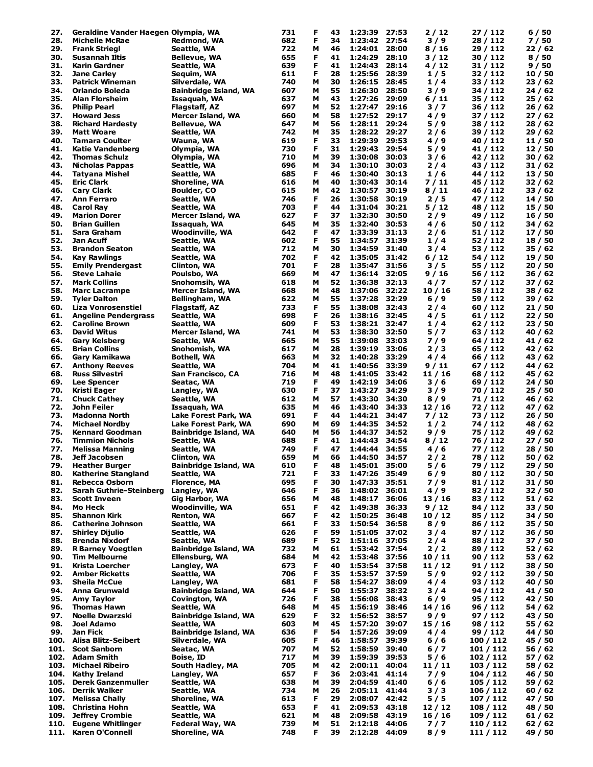| 27.  | Geraldine Vander Haegen Olympia, WA |                              | 731 | F | 43 | 1:23:39       | 27:53 | 2 / 12  | 27 / 112  | 6/50    |
|------|-------------------------------------|------------------------------|-----|---|----|---------------|-------|---------|-----------|---------|
| 28.  | <b>Michelle McRae</b>               | Redmond, WA                  | 682 | F | 34 | 1:23:42       | 27:54 | 3/9     | 28 / 112  | 7/50    |
| 29.  | <b>Frank Striegl</b>                | Seattle, WA                  | 722 | м | 46 | 1:24:01       | 28:00 | 8/16    | 29 / 112  | 22/62   |
| 30.  | Susannah Iltis                      | Bellevue, WA                 | 655 | F | 41 | 1:24:29       | 28:10 | 3 / 12  | 30 / 112  | 8/50    |
| 31.  | Karin Gardner                       | Seattle, WA                  | 639 | F | 41 | 1:24:43       | 28:14 | 4 / 12  | 31 / 112  | 9/50    |
| 32.  | Jane Carley                         | Sequim, WA                   | 611 | F | 28 | 1:25:56       | 28:39 | 1/5     | 32 / 112  | 10/50   |
| 33.  | <b>Patrick Wineman</b>              | Silverdale, WA               | 740 | М | 30 | 1:26:15       | 28:45 | 1/4     | 33 / 112  | 23/62   |
| 34.  | <b>Orlando Boleda</b>               |                              | 607 |   | 55 |               |       |         | 34 / 112  |         |
|      |                                     | <b>Bainbridge Island, WA</b> |     | М |    | 1:26:30       | 28:50 | 3/9     |           | 24/62   |
| 35.  | <b>Alan Florsheim</b>               | Issaquah, WA                 | 637 | М | 43 | 1:27:26       | 29:09 | 6 / 11  | 35 / 112  | 25/62   |
| 36.  | <b>Philip Pearl</b>                 | Flagstaff, AZ                | 697 | М | 52 | 1:27:47       | 29:16 | 3/7     | 36 / 112  | 26/62   |
| 37.  | <b>Howard Jess</b>                  | Mercer Island, WA            | 660 | М | 58 | 1:27:52       | 29:17 | 4/9     | 37 / 112  | 27/62   |
| 38.  | <b>Richard Hardesty</b>             | Bellevue, WA                 | 647 | М | 56 | 1:28:11       | 29:24 | 5/9     | 38 / 112  | 28/62   |
| 39.  | <b>Matt Woare</b>                   | Seattle, WA                  | 742 | М | 35 | 1:28:22       | 29:27 | 2/6     | 39 / 112  | 29/62   |
| 40.  | <b>Tamara Coulter</b>               | Wauna, WA                    | 619 | F | 33 | 1:29:39       | 29:53 | 4/9     | 40 / 112  | 11 / 50 |
| 41.  | <b>Katie Vandenberg</b>             | Olympia, WA                  | 730 | F | 31 | 1:29:43       | 29:54 | 5/9     | 41 / 112  | 12 / 50 |
| 42.  | <b>Thomas Schulz</b>                | Olympia, WA                  | 710 | М | 39 | 1:30:08       | 30:03 | 3/6     | 42 / 112  | 30/62   |
| 43.  | <b>Nicholas Pappas</b>              | Seattle, WA                  | 696 | М | 34 | 1:30:10       | 30:03 | 2/4     | 43 / 112  | 31 / 62 |
| 44.  | Tatyana Mishel                      | Seattle, WA                  | 685 | F | 46 | 1:30:40       | 30:13 | 1/6     | 44 / 112  | 13 / 50 |
| 45.  | <b>Eric Clark</b>                   | Shoreline, WA                | 616 | м | 40 | 1:30:43       | 30:14 | 7 / 11  | 45 / 112  | 32 / 62 |
|      |                                     |                              |     |   |    |               |       |         |           |         |
| 46.  | <b>Cary Clark</b>                   | <b>Boulder, CO</b>           | 615 | М | 42 | 1:30:57       | 30:19 | 8/11    | 46 / 112  | 33 / 62 |
| 47.  | <b>Ann Ferraro</b>                  | Seattle, WA                  | 746 | F | 26 | 1:30:58       | 30:19 | 2/5     | 47 / 112  | 14 / 50 |
| 48.  | <b>Carol Ray</b>                    | Seattle, WA                  | 703 | F | 44 | 1:31:04       | 30:21 | 5 / 12  | 48 / 112  | 15 / 50 |
| 49.  | <b>Marion Dorer</b>                 | Mercer Island, WA            | 627 | F | 37 | 1:32:30       | 30:50 | 2/9     | 49 / 112  | 16/50   |
| 50.  | <b>Brian Guillen</b>                | Issaquah, WA                 | 645 | М | 35 | 1:32:40       | 30:53 | 4/6     | 50 / 112  | 34 / 62 |
| 51.  | Sara Graham                         | <b>Woodinville, WA</b>       | 642 | F | 47 | 1:33:39       | 31:13 | 2/6     | 51 / 112  | 17/50   |
| 52.  | Jan Acuff                           | Seattle, WA                  | 602 | F | 55 | 1:34:57       | 31:39 | 1/4     | 52 / 112  | 18 / 50 |
| 53.  | <b>Brandon Seaton</b>               | Seattle, WA                  | 712 | М | 30 | 1:34:59       | 31:40 | 3/4     | 53 / 112  | 35 / 62 |
| 54.  | Kay Rawlings                        | Seattle, WA                  | 702 | F | 42 | 1:35:05       | 31:42 | 6 / 12  | 54 / 112  | 19 / 50 |
| 55.  | <b>Emily Prendergast</b>            |                              | 701 | F | 28 | 1:35:47       | 31:56 | 3/5     | 55 / 112  | 20/50   |
| 56.  | <b>Steve Lahaie</b>                 | Clinton, WA                  |     |   |    |               |       |         |           |         |
|      |                                     | Poulsbo, WA                  | 669 | М | 47 | 1:36:14       | 32:05 | 9 / 16  | 56 / 112  | 36 / 62 |
| 57.  | <b>Mark Collins</b>                 | Snohomsih, WA                | 618 | М | 52 | 1:36:38       | 32:13 | 4/7     | 57 / 112  | 37 / 62 |
| 58.  | <b>Marc Lacrampe</b>                | Mercer Island, WA            | 668 | М | 48 | 1:37:06       | 32:22 | 10/16   | 58 / 112  | 38 / 62 |
| 59.  | <b>Tyler Dalton</b>                 | Bellingham, WA               | 622 | М | 55 | 1:37:28       | 32:29 | $6/9$   | 59 / 112  | 39 / 62 |
| 60.  | <b>Liza Vonrosenstiel</b>           | Flagstaff, AZ                | 733 | F | 55 | 1:38:08       | 32:43 | 2/4     | 60 / 112  | 21/50   |
| 61.  | <b>Angeline Pendergrass</b>         | Seattle, WA                  | 698 | F | 26 | 1:38:16       | 32:45 | 4/5     | 61 / 112  | 22/50   |
| 62.  | <b>Caroline Brown</b>               | Seattle, WA                  | 609 | F | 53 | 1:38:21       | 32:47 | 1/4     | 62 / 112  | 23 / 50 |
| 63.  | David Witus                         | Mercer Island, WA            | 741 | М | 53 | 1:38:30       | 32:50 | 5/7     | 63 / 112  | 40 / 62 |
| 64.  | Gary Kelsberg                       | Seattle, WA                  | 665 | М | 55 | 1:39:08       | 33:03 | 7/9     | 64 / 112  | 41 / 62 |
| 65.  | <b>Brian Collins</b>                | Snohomish, WA                | 617 | М | 28 | 1:39:19       | 33:06 | 2/3     | 65 / 112  | 42 / 62 |
| 66.  |                                     |                              | 663 | М | 32 | 1:40:28       | 33:29 | 4/4     |           |         |
|      | Gary Kamikawa                       | <b>Bothell, WA</b>           |     |   |    |               |       |         | 66 / 112  | 43 / 62 |
| 67.  | <b>Anthony Reeves</b>               | Seattle, WA                  | 704 | М | 41 | 1:40:56       | 33:39 | 9 / 11  | 67 / 112  | 44 / 62 |
| 68.  | <b>Russ Silvestri</b>               | San Francisco, CA            | 716 | М | 48 | 1:41:05       | 33:42 | 11 / 16 | 68 / 112  | 45 / 62 |
| 69.  | <b>Lee Spencer</b>                  | Seatac, WA                   | 719 | F | 49 | 1:42:19       | 34:06 | 3/6     | 69 / 112  | 24 / 50 |
| 70.  | Kristi Eager                        | Langley, WA                  | 630 | F | 37 | 1:43:27       | 34:29 | 3/9     | 70 / 112  | 25/50   |
| 71.  | <b>Chuck Cathey</b>                 | Seattle, WA                  | 612 | M | 57 | 1:43:30       | 34:30 | 8/9     | 71 / 112  | 46 / 62 |
| 72.  | John Feiler                         | Issaquah, WA                 | 635 | М | 46 | 1:43:40       | 34:33 | 12/16   | 72 / 112  | 47 / 62 |
| 73.  | Madonna North                       | Lake Forest Park, WA         | 691 | F | 44 | 1:44:21       | 34:47 | 7 / 12  | 73 / 112  | 26/50   |
| 74.  | <b>Michael Nordby</b>               | Lake Forest Park, WA         | 690 | М | 69 | 1:44:35       | 34:52 | 1/2     | 74 / 112  | 48 / 62 |
| 75.  | <b>Kennard Goodman</b>              | Bainbridge Island, WA        | 640 | м | 56 | 1:44:37       | 34:52 | $9/9$   | 75 / 112  | 49 / 62 |
| 76.  | <b>Timmion Nichols</b>              | Seattle, WA                  | 688 | F | 41 | 1:44:43       | 34:54 | 8 / 12  | 76 / 112  | 27/50   |
| 77.  | <b>Melissa Manning</b>              | Seattle, WA                  | 749 | F | 47 | 1:44:44       | 34:55 | 4/6     | 77 / 112  | 28/50   |
| 78.  | Jeff Jacobsen                       | Clinton, WA                  | 659 | м | 66 | 1:44:50       | 34:57 |         | 78 / 112  | 50/62   |
|      |                                     |                              |     |   |    |               |       | 2/2     |           |         |
| 79.  | <b>Heather Burger</b>               | Bainbridge Island, WA        | 610 | F | 48 | 1:45:01       | 35:00 | 5/6     | 79 / 112  | 29 / 50 |
| 80.  | <b>Katherine Stangland</b>          | Seattle, WA                  | 721 | F | 33 | 1:47:26       | 35:49 | 6/9     | 80 / 112  | 30/50   |
| 81.  | <b>Rebecca Osborn</b>               | <b>Florence, MA</b>          | 695 | F | 30 | 1:47:33       | 35:51 | 7/9     | 81/112    | 31/50   |
| 82.  | <b>Sarah Guthrie-Steinberg</b>      | Langley, WA                  | 646 | F | 36 | 1:48:02       | 36:01 | 4/9     | 82/112    | 32 / 50 |
| 83.  | <b>Scott Inveen</b>                 | <b>Gig Harbor, WA</b>        | 656 | М | 48 | 1:48:17       | 36:06 | 13/16   | 83 / 112  | 51 / 62 |
| 84.  | Mo Heck                             | <b>Woodinville, WA</b>       | 651 | F | 42 | 1:49:38       | 36:33 | 9 / 12  | 84/112    | 33 / 50 |
| 85.  | <b>Shannon Kirk</b>                 | Renton, WA                   | 667 | F | 42 | 1:50:25       | 36:48 | 10/12   | 85 / 112  | 34 / 50 |
| 86.  | <b>Catherine Johnson</b>            | Seattle, WA                  | 661 | F | 33 | 1:50:54       | 36:58 | 8/9     | 86 / 112  | 35 / 50 |
| 87.  | <b>Shirley Dijulio</b>              | Seattle, WA                  | 626 | F | 59 | 1:51:05 37:02 |       | 3/4     | 87 / 112  | 36 / 50 |
| 88.  | <b>Brenda Nixdorf</b>               | Seattle, WA                  | 689 | F | 52 | 1:51:16       | 37:05 | 2 / 4   | 88 / 112  | 37 / 50 |
| 89.  | <b>R Barney Voegtlen</b>            | <b>Bainbridge Island, WA</b> | 732 | М | 61 | 1:53:42 37:54 |       | 2/2     | 89 / 112  | 52/62   |
| 90.  | <b>Tim Melbourne</b>                | Ellensburg, WA               | 684 | М | 42 | 1:53:48       | 37:56 | 10 / 11 | 90 / 112  | 53 / 62 |
|      |                                     |                              |     |   |    |               |       |         |           |         |
| 91.  | Krista Loercher                     | Langley, WA                  | 673 | F | 40 | 1:53:54       | 37:58 | 11/12   | 91 / 112  | 38 / 50 |
| 92.  | <b>Amber Ricketts</b>               | Seattle, WA                  | 706 | F | 35 | 1:53:57       | 37:59 | 5/9     | 92/112    | 39 / 50 |
| 93.  | <b>Sheila McCue</b>                 | Langley, WA                  | 681 | F | 58 | 1:54:27       | 38:09 | 4 / 4   | 93 / 112  | 40 / 50 |
| 94.  | Anna Grunwald                       | <b>Bainbridge Island, WA</b> | 644 | F | 50 | 1:55:37       | 38:32 | 3/4     | 94 / 112  | 41 / 50 |
| 95.  | Amy Taylor                          | <b>Covington, WA</b>         | 726 | F | 38 | 1:56:08       | 38:43 | 6 / 9   | 95 / 112  | 42 / 50 |
| 96.  | <b>Thomas Hawn</b>                  | Seattle, WA                  | 648 | M | 45 | 1:56:19       | 38:46 | 14 / 16 | 96 / 112  | 54 / 62 |
| 97.  | <b>Noelle Dwarzski</b>              | <b>Bainbridge Island, WA</b> | 629 | F | 32 | 1:56:52       | 38:57 | 9 / 9   | 97 / 112  | 43 / 50 |
| 98.  | Joel Adamo                          | Seattle, WA                  | 603 | м | 45 | 1:57:20       | 39:07 | 15 / 16 | 98 / 112  | 55 / 62 |
| 99.  | Jan Fick                            | <b>Bainbridge Island, WA</b> | 636 | F | 54 | 1:57:26       | 39:09 | 4/4     | 99 / 112  | 44 / 50 |
| 100. | Alisa Blitz-Seibert                 | Silverdale, WA               | 605 | F | 46 | 1:58:57       | 39:39 | 6/6     | 100 / 112 | 45 / 50 |
| 101. | <b>Scot Sanborn</b>                 | Seatac, WA                   | 707 | М | 52 | 1:58:59       | 39:40 | 6/7     | 101 / 112 | 56 / 62 |
|      | <b>Adam Smith</b>                   |                              | 717 | М |    |               | 39:53 |         |           |         |
| 102. |                                     | <b>Boise, ID</b>             |     |   | 39 | 1:59:39       |       | 5/6     | 102 / 112 | 57 / 62 |
| 103. | <b>Michael Ribeiro</b>              | South Hadley, MA             | 705 | М | 42 | 2:00:11       | 40:04 | 11 / 11 | 103 / 112 | 58 / 62 |
| 104. | <b>Kathy Ireland</b>                | Langley, WA                  | 657 | F | 36 | 2:03:41 41:14 |       | 7/9     | 104 / 112 | 46 / 50 |
| 105. | <b>Derek Ganzenmuller</b>           | Seattle, WA                  | 638 | М | 39 | 2:04:59 41:40 |       | 6/6     | 105 / 112 | 59 / 62 |
| 106. | <b>Derrik Walker</b>                | Seattle, WA                  | 734 | М | 26 | 2:05:11 41:44 |       | 3/3     | 106 / 112 | 60/62   |
| 107. | <b>Melissa Chally</b>               | Shoreline, WA                | 613 | F | 29 | 2:08:07 42:42 |       | 5/5     | 107 / 112 | 47 / 50 |
|      | 108. Christina Hohn                 | Seattle, WA                  | 653 | F | 41 | 2:09:53 43:18 |       | 12/12   | 108 / 112 | 48 / 50 |
| 109. | <b>Jeffrey Crombie</b>              | Seattle, WA                  | 621 | М | 48 | 2:09:58 43:19 |       | 16/16   | 109 / 112 | 61 / 62 |
|      | 110. Eugene Whitlinger              | Federal Way, WA              | 739 | м | 51 | 2:12:18 44:06 |       | 7/7     | 110 / 112 | 62/62   |
|      | 111. Karen O'Connell                | Shoreline, WA                | 748 | F | 39 | 2:12:28 44:09 |       | 8/9     | 111 / 112 | 49 / 50 |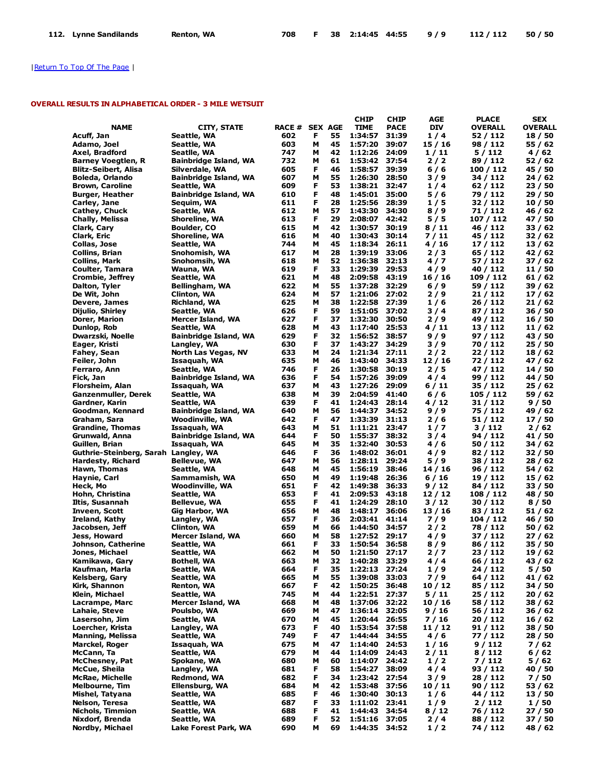|  | 112. Lynne Sandilands Renton, WA |  |  |  |  | 708 F 38 2:14:45 44:55 9/9 112/112 50/50 |  |  |  |
|--|----------------------------------|--|--|--|--|------------------------------------------|--|--|--|
|--|----------------------------------|--|--|--|--|------------------------------------------|--|--|--|

# OVERALL RESULTS IN ALPHABETICAL ORDER - 3 MILE WETSUIT

|                                      |                                             |                |        |          | CHIP               | <b>CHIP</b>    | AGE        | <b>PLACE</b>         | <b>SEX</b>         |
|--------------------------------------|---------------------------------------------|----------------|--------|----------|--------------------|----------------|------------|----------------------|--------------------|
| <b>NAME</b>                          | <b>CITY, STATE</b>                          | RACE # SEX AGE |        |          | <b>TIME</b>        | <b>PACE</b>    | <b>DIV</b> | OVERALL              | <b>OVERALL</b>     |
| Acuff, Jan                           | Seattle, WA                                 | 602            | F      | 55       | 1:34:57            | 31:39          | 1/4        | 52 / 112             | 18 / 50            |
| Adamo, Joel                          | Seattle, WA                                 | 603            | М      | 45       | 1:57:20            | 39:07          | 15/16      | 98 / 112             | 55 / 62            |
| Axel, Bradford                       | Seatlle, WA                                 | 747            | М      | 42       | 1:12:26            | 24:09          | 1/11       | 5/112                | 4 / 62             |
| <b>Barney Voegtlen, R</b>            | <b>Bainbridge Island, WA</b>                | 732            | М      | 61       | 1:53:42            | 37:54          | 2/2        | 89 / 112             | 52 / 62            |
| Blitz-Seibert, Alisa                 | Silverdale, WA                              | 605            | F      | 46       | 1:58:57            | 39:39          | 6 / 6      | 100 / 112            | 45 / 50            |
| <b>Boleda, Orlando</b>               | <b>Bainbridge Island, WA</b>                | 607            | М      | 55       | 1:26:30            | 28:50          | 3/9        | 34 / 112             | 24 / 62            |
| <b>Brown, Caroline</b>               | Seattle, WA                                 | 609            | F      | 53       | 1:38:21            | 32:47          | 1/4        | 62 / 112             | 23 / 50            |
| <b>Burger, Heather</b>               | Bainbridge Island, WA                       | 610            | F      | 48       | 1:45:01            | 35:00          | 5 / 6      | 79 / 112             | 29 / 50            |
| Carley, Jane                         | Sequim, WA                                  | 611            | F      | 28       | 1:25:56            | 28:39          | 1/5        | 32 / 112             | 10/50              |
| Cathey, Chuck                        | Seattle, WA                                 | 612            | М      | 57       | 1:43:30            | 34:30          | 8 / 9      | 71 / 112             | 46 / 62            |
| Chally, Melissa                      | Shoreline, WA                               | 613            | F      | 29       | 2:08:07            | 42:42          | 5 / 5      | 107 / 112            | 47 / 50            |
| Clark, Cary                          | <b>Boulder, CO</b>                          | 615            | М      | 42       | 1:30:57            | 30:19          | 8 / 11     | 46 / 112             | 33 / 62            |
| Clark, Eric                          | Shoreline, WA                               | 616            | М      | 40       | 1:30:43            | 30:14          | 7 / 11     | 45 / 112             | 32 / 62            |
| Collas, Jose                         | Seattle, WA                                 | 744            | М      | 45       | 1:18:34            | 26:11          | 4 / 16     | 17 / 112             | 13 / 62            |
| Collins, Brian                       | Snohomish, WA                               | 617            | м      | 28       | 1:39:19            | 33:06          | 2/3        | 65 / 112             | 42 / 62            |
| Collins, Mark                        | Snohomsih, WA                               | 618            | М      | 52       | 1:36:38            | 32:13          | 4 / 7      | 57 / 112             | 37 / 62            |
| Coulter, Tamara                      | Wauna, WA                                   | 619            | F      | 33       | 1:29:39            | 29:53          | 4 / 9      | 40 / 112             | 11 / 50            |
| Crombie, Jeffrey                     | Seattle, WA                                 | 621            | М      | 48       | 2:09:58            | 43:19          | 16 / 16    | 109 / 112            | 61 / 62            |
| Dalton, Tyler                        | Bellingham, WA                              | 622            | М      | 55       | 1:37:28            | 32:29          | 6/9        | 59 / 112             | 39 / 62            |
| De Wit, John                         | Clinton, WA                                 | 624            | М      | 57       | 1:21:06            | 27:02          | 2 / 9      | 21 / 112             | 17 / 62            |
| Devere, James                        | Richland, WA                                | 625            | М      | 38       | 1:22:58            | 27:39          | 1/6        | 26 / 112             | 21 / 62            |
| Dijulio, Shirley                     | Seattle, WA                                 | 626            | F      | 59       | 1:51:05            | 37:02          | 3 / 4      | 87 / 112             | 36 / 50            |
| Dorer, Marion                        | <b>Mercer Island, WA</b>                    | 627            | F      | 37       | 1:32:30            | 30:50          | 2/9        | 49 / 112             | 16 / 50            |
| Dunlop, Rob                          | Seattle, WA                                 | 628            | М      | 43       | 1:17:40            | 25:53          | 4 / 11     | 13/112               | 11 / 62            |
| Dwarzski, Noelle                     | <b>Bainbridge Island, WA</b>                | 629            | F      | 32       | 1:56:52            | 38:57          | 9 / 9      | 97 / 112             | 43 / 50            |
| Eager, Kristi                        | Langley, WA                                 | 630            | F      | 37<br>24 | 1:43:27            | 34:29          | 3/9        | 70 / 112             | 25 / 50            |
| Fahey, Sean                          | North Las Vegas, NV                         | 633            | м      |          | 1:21:34<br>1:43:40 | 27:11<br>34:33 | 2/2        | 22 / 112             | 18 / 62            |
| Feiler, John                         | Issaquah, WA                                | 635            | М<br>F | 46<br>26 | 1:30:58            | 30:19          | 12/16      | 72 / 112             | 47 / 62            |
| Ferraro, Ann<br>Fick, Jan            | Seattle, WA<br><b>Bainbridge Island, WA</b> | 746<br>636     | F      | 54       | 1:57:26            | 39:09          | 2/5<br>4/4 | 47 / 112<br>99 / 112 | 14 / 50<br>44 / 50 |
| Florsheim, Alan                      |                                             | 637            | М      | 43       | 1:27:26            | 29:09          | 6 / 11     | 35 / 112             | 25 / 62            |
| Ganzenmuller, Derek                  | Issaquah, WA                                | 638            | М      | 39       | 2:04:59            | 41:40          | $6/6$      | 105 / 112            | 59 / 62            |
| Gardner, Karin                       | Seattle, WA<br>Seattle, WA                  | 639            | F      | 41       | 1:24:43            | 28:14          | 4/12       | 31 / 112             | 9 / 50             |
| Goodman, Kennard                     | Bainbridge Island, WA                       | 640            | М      | 56       | 1:44:37            | 34:52          | 9 / 9      | 75 / 112             | 49 / 62            |
| Graham, Sara                         | Woodinville, WA                             | 642            | F      | 47       | 1:33:39            | 31:13          | 2/6        | 51 / 112             | 17 / 50            |
| Grandine, Thomas                     | Issaquah, WA                                | 643            | М      | 51       | 1:11:21 23:47      |                | 1/7        | 3/112                | 2/62               |
| Grunwald, Anna                       | <b>Bainbridge Island, WA</b>                | 644            | F      | 50       | 1:55:37            | 38:32          | 3 / 4      | 94 / 112             | 41 / 50            |
| Guillen, Brian                       | Issaquah, WA                                | 645            | М      | 35       | 1:32:40            | 30:53          | 4/6        | 50 / 112             | 34 / 62            |
| Guthrie-Steinberg, Sarah Langley, WA |                                             | 646            | F      | 36       | 1:48:02            | 36:01          | 4/9        | 82 / 112             | 32 / 50            |
| Hardesty, Richard                    | <b>Bellevue, WA</b>                         | 647            | М      | 56       | 1:28:11            | 29:24          | 5 / 9      | 38 / 112             | 28 / 62            |
| Hawn, Thomas                         | Seattle, WA                                 | 648            | М      | 45       | 1:56:19            | 38:46          | 14/16      | 96 / 112             | 54 / 62            |
| Haynie, Carl                         | Sammamish, WA                               | 650            | М      | 49       | 1:19:48            | 26:36          | 6 / 16     | 19 / 112             | 15 / 62            |
| Heck, Mo                             | Woodinville, WA                             | 651            | F      | 42       | 1:49:38            | 36:33          | 9/12       | 84 / 112             | 33 / 50            |
| Hohn, Christina                      | Seattle, WA                                 | 653            | F      | 41       | 2:09:53            | 43:18          | 12/12      | 108 / 112            | 48 / 50            |
| Iltis, Susannah                      | <b>Bellevue, WA</b>                         | 655            | F      | 41       | 1:24:29            | 28:10          | 3/12       | 30 / 112             | 8/50               |
| Inveen, Scott                        | Gig Harbor, WA                              | 656            | М      | 48       | 1:48:17            | 36:06          | 13 / 16    | 83 / 112             | 51 / 62            |
| Ireland, Kathy                       | Langley, WA                                 | 657            | F      | 36       | 2:03:41            | 41:14          | 7/9        | 104 / 112            | 46 / 50            |
| Jacobsen, Jeff                       | Clinton, WA                                 | 659            | М      | 66       | 1:44:50            | 34:57          | 2/2        | 78 / 112             | 50 / 62            |
| Jess, Howard                         | Mercer Island, WA                           | 660            | М      | 58       | 1:27:52            | 29:17          | 4/9        | 37 / 112             | 27 / 62            |
| Johnson, Catherine                   | Seattle, WA                                 | 661            | F      | 33       | 1:50:54            | 36:58          | 8 / 9      | 86 / 112             | 35 / 50            |
| Jones, Michael                       | Seattle, WA                                 | 662            | M      | 50       | 1:21:50            | 27:17          | 2 / 7      | 23 / 112             | 19 / 62            |
| Kamikawa, Gary                       | Bothell, WA                                 | 663            | M      | 32       | 1:40:28            | 33:29          | 4/4        | 66 / 112             | 43 / 62            |
| Kaufman, Marla                       | Seattle, WA                                 | 664            | F      | 35       | 1:22:13            | 27:24          | 1/9        | 24 / 112             | 5 / 50             |
| Kelsberg, Gary                       | Seattle, WA                                 | 665            | М      | 55       | 1:39:08            | 33:03          | 7/9        | 64 / 112             | 41 / 62            |
| Kirk, Shannon                        | Renton, WA                                  | 667            | F      | 42       | 1:50:25            | 36:48          | 10/12      | 85 / 112             | 34 / 50            |
| Klein, Michael                       | Seattle, WA                                 | 745            | М      | 44       | 1:22:51            | 27:37          | 5/11       | 25 / 112             | 20/62              |
| Lacrampe, Marc                       | Mercer Island, WA                           | 668            | м      | 48       | 1:37:06            | 32:22          | 10/16      | 58 / 112             | 38 / 62            |
| Lahaie, Steve                        | Poulsbo, WA                                 | 669            | М      | 47       | 1:36:14            | 32:05          | 9/16       | 56 / 112             | 36 / 62            |
| Lasersohn, Jim                       | Seattle, WA                                 | 670            | М      | 45       | 1:20:44            | 26:55          | 7/16       | 20 / 112             | 16 / 62            |
| Loercher, Krista                     | Langley, WA                                 | 673            | F      | 40       | 1:53:54            | 37:58          | 11 / 12    | 91 / 112             | 38 / 50            |
| Manning, Melissa                     | Seattle, WA                                 | 749            | F      | 47       | 1:44:44            | 34:55          | 4/6        | 77 / 112             | 28 / 50            |
| Marckel, Roger                       | Issaquah, WA                                | 675            | М      | 47       | 1:14:40            | 24:53          | 1 / 16     | 9 / 112              | 7 / 62             |
| McCann, Ta                           | Seattle, WA                                 | 679            | М      | 44       | 1:14:09            | 24:43          | 2 / 11     | 8/112                | 6 / 62             |
| McChesney, Pat                       | Spokane, WA                                 | 680            | М      | 60       | 1:14:07            | 24:42          | 1/2        | 7 / 112              | 5 / 62             |
| McCue, Sheila                        | Langley, WA                                 | 681            | F      | 58       | 1:54:27            | 38:09          | 4 / 4      | 93 / 112             | 40 / 50            |
| McRae, Michelle                      | Redmond, WA                                 | 682            | Е      | 34       | 1:23:42 27:54      |                | 3/9        | 28 / 112             | 7 / 50             |
| Melbourne, Tim                       | Ellensburg, WA                              | 684            | М      | 42       | 1:53:48            | 37:56          | 10 / 11    | 90 / 112             | 53 / 62            |
| Mishel, Tatyana                      | Seattle, WA                                 | 685            | F      | 46       | 1:30:40            | 30:13          | 1/6        | 44 / 112             | 13 / 50            |
| Nelson, Teresa                       | Seattle, WA                                 | 687            | F      | 33       | 1:11:02            | 23:41          | 1/9        | 2/112                | 1/50               |
| Nichols, Timmion                     | Seattle, WA                                 | 688            | F      | 41       | 1:44:43            | 34:54          | 8 / 12     | 76 / 112             | 27/50              |
| Nixdorf, Brenda                      | Seattle, WA                                 | 689            | F      | 52       | 1:51:16            | 37:05          | 2 / 4      | 88 / 112             | 37 / 50            |
| Nordby, Michael                      | Lake Forest Park, WA                        | 690            | М      | 69       | 1:44:35            | 34:52          | 1/2        | 74 / 112             | 48 / 62            |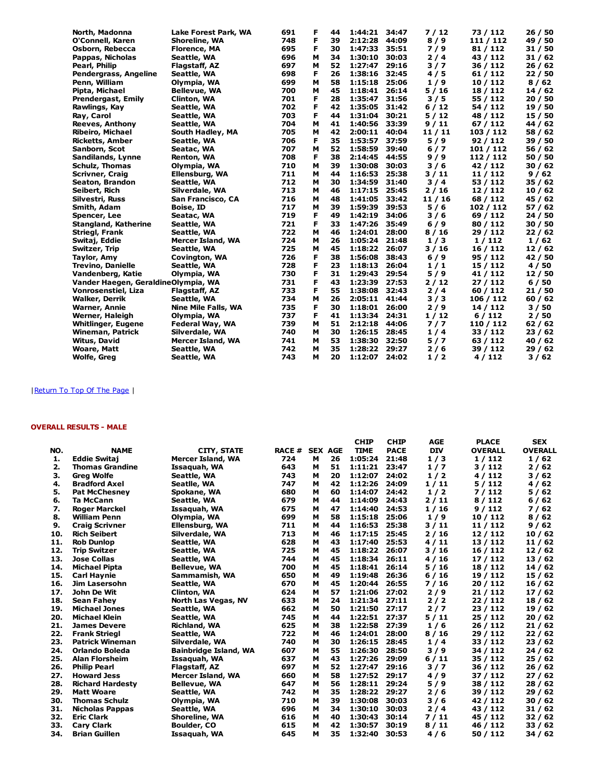| North, Madonna                      | Lake Forest Park, WA       | 691 | F | 44 | 1:44:21 | 34:47 | 7/12    | 73 / 112  | 26/50   |
|-------------------------------------|----------------------------|-----|---|----|---------|-------|---------|-----------|---------|
| O'Connell, Karen                    | Shoreline, WA              | 748 | F | 39 | 2:12:28 | 44:09 | 8/9     | 111 / 112 | 49 / 50 |
| Osborn, Rebecca                     | <b>Florence, MA</b>        | 695 | F | 30 | 1:47:33 | 35:51 | 7/9     | 81 / 112  | 31/50   |
| Pappas, Nicholas                    | Seattle, WA                | 696 | м | 34 | 1:30:10 | 30:03 | $2/4$   | 43 / 112  | 31/62   |
| Pearl, Philip                       | Flagstaff, AZ              | 697 | м | 52 | 1:27:47 | 29:16 | 3/7     | 36 / 112  | 26/62   |
| Pendergrass, Angeline               | Seattle, WA                | 698 | F | 26 | 1:38:16 | 32:45 | 4/5     | 61 / 112  | 22/50   |
| Penn, William                       | Olympia, WA                | 699 | M | 58 | 1:15:18 | 25:06 | 1/9     | 10 / 112  | 8/62    |
| Pipta, Michael                      | <b>Bellevue, WA</b>        | 700 | м | 45 | 1:18:41 | 26:14 | 5/16    | 18 / 112  | 14/62   |
| <b>Prendergast, Emily</b>           | Clinton, WA                | 701 | F | 28 | 1:35:47 | 31:56 | 3/5     | 55 / 112  | 20/50   |
| Rawlings, Kay                       | Seattle, WA                | 702 | F | 42 | 1:35:05 | 31:42 | 6/12    | 54 / 112  | 19 / 50 |
| Ray, Carol                          | Seattle, WA                | 703 | F | 44 | 1:31:04 | 30:21 | 5/12    | 48 / 112  | 15 / 50 |
| <b>Reeves, Anthony</b>              | Seattle, WA                | 704 | M | 41 | 1:40:56 | 33:39 | 9/11    | 67/112    | 44 / 62 |
| <b>Ribeiro, Michael</b>             | South Hadley, MA           | 705 | м | 42 | 2:00:11 | 40:04 | 11 / 11 | 103 / 112 | 58 / 62 |
| Ricketts, Amber                     | Seattle, WA                | 706 | F | 35 | 1:53:57 | 37:59 | 5/9     | 92 / 112  | 39 / 50 |
| Sanborn, Scot                       | Seatac, WA                 | 707 | M | 52 | 1:58:59 | 39:40 | $6/7$   | 101 / 112 | 56 / 62 |
| Sandilands, Lynne                   | Renton, WA                 | 708 | F | 38 | 2:14:45 | 44:55 | 9/9     | 112 / 112 | 50 / 50 |
| <b>Schulz, Thomas</b>               | Olympia, WA                | 710 | M | 39 | 1:30:08 | 30:03 | 3/6     | 42 / 112  | 30/62   |
| <b>Scrivner, Craig</b>              | Ellensburg, WA             | 711 | M | 44 | 1:16:53 | 25:38 | 3/11    | 11/112    | 9/62    |
| Seaton, Brandon                     | Seattle, WA                | 712 | м | 30 | 1:34:59 | 31:40 | 3/4     | 53 / 112  | 35/62   |
| Seibert, Rich                       | Silverdale, WA             | 713 | м | 46 | 1:17:15 | 25:45 | 2/16    | 12/112    | 10/62   |
| Silvestri, Russ                     | San Francisco, CA          | 716 | м | 48 | 1:41:05 | 33:42 | 11 / 16 | 68 / 112  | 45 / 62 |
| Smith, Adam                         | <b>Boise, ID</b>           | 717 | M | 39 | 1:59:39 | 39:53 | 5/6     | 102 / 112 | 57/62   |
| Spencer, Lee                        | Seatac, WA                 | 719 | F | 49 | 1:42:19 | 34:06 | 3/6     | 69 / 112  | 24/50   |
| <b>Stangland, Katherine</b>         | Seattle, WA                | 721 | F | 33 | 1:47:26 | 35:49 | 6/9     | 80 / 112  | 30/50   |
| Striegl, Frank                      | Seattle, WA                | 722 | M | 46 | 1:24:01 | 28:00 | 8/16    | 29 / 112  | 22/62   |
| Switaj, Eddie                       | Mercer Island, WA          | 724 | м | 26 | 1:05:24 | 21:48 | 1/3     | 1/112     | 1/62    |
| Switzer, Trip                       | Seattle, WA                | 725 | м | 45 | 1:18:22 | 26:07 | 3/16    | 16 / 112  | 12/62   |
| Taylor, Amy                         | Covington, WA              | 726 | F | 38 | 1:56:08 | 38:43 | $6/9$   | 95 / 112  | 42 / 50 |
| <b>Trevino, Danielle</b>            | Seattle, WA                | 728 | F | 23 | 1:18:13 | 26:04 | 1/1     | 15 / 112  | 4/50    |
| Vandenberg, Katie                   | Olympia, WA                | 730 | F | 31 | 1:29:43 | 29:54 | 5/9     | 41 / 112  | 12 / 50 |
| Vander Haegen, GeraldineOlympia, WA |                            | 731 | F | 43 | 1:23:39 | 27:53 | 2/12    | 27/112    | 6/50    |
| Vonrosenstiel, Liza                 | Flagstaff, AZ              | 733 | F | 55 | 1:38:08 | 32:43 | $2/4$   | 60/112    | 21/50   |
| <b>Walker, Derrik</b>               | Seattle, WA                | 734 | M | 26 | 2:05:11 | 41:44 | 3/3     | 106 / 112 | 60/62   |
| <b>Warner, Annie</b>                | <b>Nine Mile Falls, WA</b> | 735 | F | 30 | 1:18:01 | 26:00 | 2/9     | 14 / 112  | 3/50    |
| Werner, Haleigh                     | Olympia, WA                | 737 | F | 41 | 1:13:34 | 24:31 | 1/12    | 6/112     | 2/50    |
| <b>Whitlinger, Eugene</b>           | Federal Way, WA            | 739 | м | 51 | 2:12:18 | 44:06 | 7/7     | 110 / 112 | 62/62   |
| <b>Wineman, Patrick</b>             | Silverdale, WA             | 740 | M | 30 | 1:26:15 | 28:45 | 1/4     | 33 / 112  | 23/62   |
| Witus, David                        | Mercer Island, WA          | 741 | м | 53 | 1:38:30 | 32:50 | 5/7     | 63 / 112  | 40 / 62 |
| <b>Woare, Matt</b>                  | Seattle, WA                | 742 | M | 35 | 1:28:22 | 29:27 | 2/6     | 39 / 112  | 29/62   |
| <b>Wolfe, Greg</b>                  | Seattle, WA                | 743 | M | 20 | 1:12:07 | 24:02 | 1/2     | 4/112     | 3/62    |

# OVERALL RESULTS - MALE

|     |                         |                              |               |                |    | <b>CHIP</b> | <b>CHIP</b> | <b>AGE</b> | <b>PLACE</b>   | <b>SEX</b>     |
|-----|-------------------------|------------------------------|---------------|----------------|----|-------------|-------------|------------|----------------|----------------|
| NO. | <b>NAME</b>             | <b>CITY, STATE</b>           | <b>RACE #</b> | <b>SEX AGE</b> |    | <b>TIME</b> | <b>PACE</b> | <b>DIV</b> | <b>OVERALL</b> | <b>OVERALL</b> |
| 1.  | <b>Eddie Switaj</b>     | Mercer Island, WA            | 724           | м              | 26 | 1:05:24     | 21:48       | 1/3        | 1/112          | 1/62           |
| 2.  | <b>Thomas Grandine</b>  | Issaquah, WA                 | 643           | м              | 51 | 1:11:21     | 23:47       | 1/7        | 3/112          | 2/62           |
| з.  | <b>Greg Wolfe</b>       | Seattle, WA                  | 743           | м              | 20 | 1:12:07     | 24:02       | 1/2        | 4/112          | 3/62           |
| 4.  | <b>Bradford Axel</b>    | Seatlle, WA                  | 747           | м              | 42 | 1:12:26     | 24:09       | 1/11       | 5/112          | 4/62           |
| 5.  | <b>Pat McChesney</b>    | Spokane, WA                  | 680           | м              | 60 | 1:14:07     | 24:42       | 1/2        | 7/112          | 5/62           |
| 6.  | <b>Ta McCann</b>        | Seattle, WA                  | 679           | м              | 44 | 1:14:09     | 24:43       | 2/11       | 8/112          | 6/62           |
| 7.  | <b>Roger Marckel</b>    | Issaquah, WA                 | 675           | м              | 47 | 1:14:40     | 24:53       | 1/16       | 9/112          | 7/62           |
| 8.  | <b>William Penn</b>     | Olympia, WA                  | 699           | м              | 58 | 1:15:18     | 25:06       | 1/9        | 10 / 112       | 8/62           |
| 9.  | <b>Craig Scrivner</b>   | Ellensburg, WA               | 711           | м              | 44 | 1:16:53     | 25:38       | 3/11       | 11/112         | 9/62           |
| 10. | <b>Rich Seibert</b>     | Silverdale, WA               | 713           | м              | 46 | 1:17:15     | 25:45       | 2/16       | 12/112         | 10/62          |
| 11. | <b>Rob Dunlop</b>       | Seattle, WA                  | 628           | м              | 43 | 1:17:40     | 25:53       | 4/11       | 13/112         | 11/62          |
| 12. | <b>Trip Switzer</b>     | Seattle, WA                  | 725           | м              | 45 | 1:18:22     | 26:07       | 3/16       | 16 / 112       | 12/62          |
| 13. | <b>Jose Collas</b>      | Seattle, WA                  | 744           | м              | 45 | 1:18:34     | 26:11       | 4/16       | 17/112         | 13/62          |
| 14. | <b>Michael Pipta</b>    | <b>Bellevue, WA</b>          | 700           | м              | 45 | 1:18:41     | 26:14       | 5/16       | 18 / 112       | 14/62          |
| 15. | <b>Carl Haynie</b>      | Sammamish, WA                | 650           | м              | 49 | 1:19:48     | 26:36       | 6/16       | 19 / 112       | 15/62          |
| 16. | Jim Lasersohn           | Seattle, WA                  | 670           | м              | 45 | 1:20:44     | 26:55       | 7/16       | 20/112         | 16/62          |
| 17. | John De Wit             | Clinton, WA                  | 624           | м              | 57 | 1:21:06     | 27:02       | 2/9        | 21 / 112       | 17/62          |
| 18. | Sean Fahey              | North Las Vegas, NV          | 633           | м              | 24 | 1:21:34     | 27:11       | 2/2        | 22 / 112       | 18/62          |
| 19. | <b>Michael Jones</b>    | Seattle, WA                  | 662           | м              | 50 | 1:21:50     | 27:17       | 2/7        | 23 / 112       | 19/62          |
| 20. | <b>Michael Klein</b>    | Seattle, WA                  | 745           | м              | 44 | 1:22:51     | 27:37       | 5/11       | 25/112         | 20/62          |
| 21. | <b>James Devere</b>     | Richland, WA                 | 625           | M              | 38 | 1:22:58     | 27:39       | 1/6        | 26 / 112       | 21/62          |
| 22. | <b>Frank Striegl</b>    | Seattle, WA                  | 722           | м              | 46 | 1:24:01     | 28:00       | 8/16       | 29 / 112       | 22/62          |
| 23. | <b>Patrick Wineman</b>  | Silverdale, WA               | 740           | м              | 30 | 1:26:15     | 28:45       | 1/4        | 33 / 112       | 23 / 62        |
| 24. | <b>Orlando Boleda</b>   | <b>Bainbridge Island, WA</b> | 607           | м              | 55 | 1:26:30     | 28:50       | 3/9        | 34 / 112       | 24/62          |
| 25. | <b>Alan Florsheim</b>   | Issaquah, WA                 | 637           | м              | 43 | 1:27:26     | 29:09       | 6/11       | 35 / 112       | 25/62          |
| 26. | <b>Philip Pearl</b>     | Flagstaff, AZ                | 697           | м              | 52 | 1:27:47     | 29:16       | 3/7        | 36 / 112       | 26/62          |
| 27. | <b>Howard Jess</b>      | Mercer Island, WA            | 660           | м              | 58 | 1:27:52     | 29:17       | 4/9        | 37 / 112       | 27/62          |
| 28. | <b>Richard Hardesty</b> | Bellevue, WA                 | 647           | м              | 56 | 1:28:11     | 29:24       | 5/9        | 38 / 112       | 28/62          |
| 29. | <b>Matt Woare</b>       | Seattle, WA                  | 742           | м              | 35 | 1:28:22     | 29:27       | 2/6        | 39 / 112       | 29/62          |
| 30. | <b>Thomas Schulz</b>    | Olympia, WA                  | 710           | м              | 39 | 1:30:08     | 30:03       | 3/6        | 42 / 112       | 30/62          |
| 31. | <b>Nicholas Pappas</b>  | Seattle, WA                  | 696           | м              | 34 | 1:30:10     | 30:03       | 2/4        | 43 / 112       | 31/62          |
| 32. | <b>Eric Clark</b>       | Shoreline, WA                | 616           | м              | 40 | 1:30:43     | 30:14       | 7/11       | 45 / 112       | 32/62          |
| 33. | <b>Cary Clark</b>       | <b>Boulder, CO</b>           | 615           | м              | 42 | 1:30:57     | 30:19       | 8/11       | 46 / 112       | 33/62          |
| 34. | <b>Brian Guillen</b>    | Issaquah, WA                 | 645           | м              | 35 | 1:32:40     | 30:53       | 4/6        | 50 / 112       | 34 / 62        |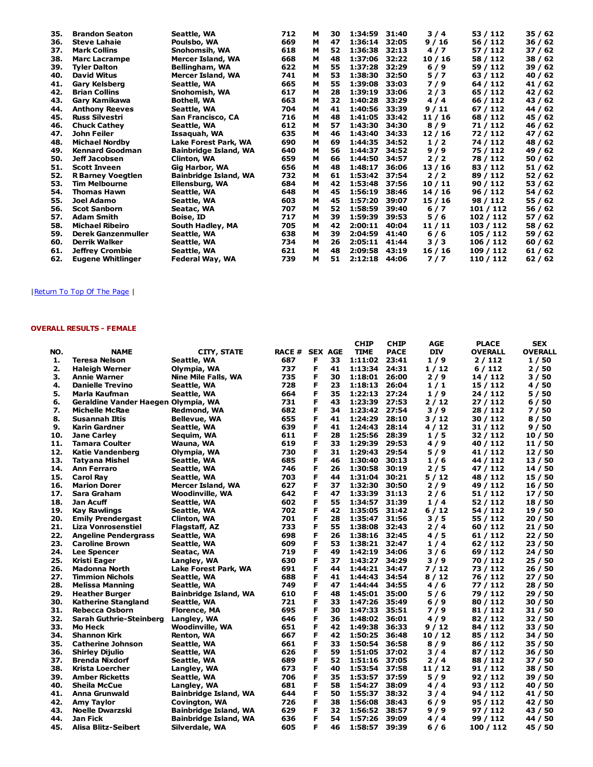| 35. | <b>Brandon Seaton</b>     | Seattle, WA                  | 712 | м | 30 | 1:34:59 | 31:40 | 3/4     | 53 / 112  | 35 / 62 |
|-----|---------------------------|------------------------------|-----|---|----|---------|-------|---------|-----------|---------|
| 36. | <b>Steve Lahaie</b>       | Poulsbo, WA                  | 669 | м | 47 | 1:36:14 | 32:05 | 9/16    | 56 / 112  | 36 / 62 |
| 37. | <b>Mark Collins</b>       | Snohomsih, WA                | 618 | м | 52 | 1:36:38 | 32:13 | 4/7     | 57 / 112  | 37 / 62 |
| 38. | <b>Marc Lacrampe</b>      | Mercer Island, WA            | 668 | м | 48 | 1:37:06 | 32:22 | 10/16   | 58 / 112  | 38/62   |
| 39. | <b>Tyler Dalton</b>       | Bellingham, WA               | 622 | м | 55 | 1:37:28 | 32:29 | $6/9$   | 59 / 112  | 39/62   |
| 40. | <b>David Witus</b>        | Mercer Island, WA            | 741 | м | 53 | 1:38:30 | 32:50 | 5/7     | 63 / 112  | 40 / 62 |
| 41. | <b>Gary Kelsberg</b>      | Seattle, WA                  | 665 | м | 55 | 1:39:08 | 33:03 | 7/9     | 64 / 112  | 41/62   |
| 42. | <b>Brian Collins</b>      | Snohomish, WA                | 617 | м | 28 | 1:39:19 | 33:06 | 2/3     | 65 / 112  | 42 / 62 |
| 43. | Gary Kamikawa             | <b>Bothell, WA</b>           | 663 | м | 32 | 1:40:28 | 33:29 | 4/4     | 66 / 112  | 43 / 62 |
| 44. | <b>Anthony Reeves</b>     | Seattle, WA                  | 704 | м | 41 | 1:40:56 | 33:39 | 9/11    | 67 / 112  | 44 / 62 |
| 45. | <b>Russ Silvestri</b>     | San Francisco, CA            | 716 | м | 48 | 1:41:05 | 33:42 | 11 / 16 | 68 / 112  | 45 / 62 |
| 46. | <b>Chuck Cathey</b>       | Seattle, WA                  | 612 | м | 57 | 1:43:30 | 34:30 | 8/9     | 71 / 112  | 46 / 62 |
| 47. | John Feiler               | Issaquah, WA                 | 635 | м | 46 | 1:43:40 | 34:33 | 12/16   | 72 / 112  | 47 / 62 |
| 48. | <b>Michael Nordby</b>     | Lake Forest Park, WA         | 690 | м | 69 | 1:44:35 | 34:52 | 1/2     | 74 / 112  | 48 / 62 |
| 49. | <b>Kennard Goodman</b>    | <b>Bainbridge Island, WA</b> | 640 | м | 56 | 1:44:37 | 34:52 | $9/9$   | 75 / 112  | 49 / 62 |
| 50. | Jeff Jacobsen             | Clinton, WA                  | 659 | м | 66 | 1:44:50 | 34:57 | $2/2$   | 78 / 112  | 50 / 62 |
| 51. | <b>Scott Inveen</b>       | Gig Harbor, WA               | 656 | м | 48 | 1:48:17 | 36:06 | 13/16   | 83 / 112  | 51 / 62 |
| 52. | <b>R Barney Voegtlen</b>  | <b>Bainbridge Island, WA</b> | 732 | м | 61 | 1:53:42 | 37:54 | 2/2     | 89 / 112  | 52 / 62 |
| 53. | <b>Tim Melbourne</b>      | Ellensburg, WA               | 684 | м | 42 | 1:53:48 | 37:56 | 10/11   | 90/112    | 53 / 62 |
| 54. | <b>Thomas Hawn</b>        | Seattle, WA                  | 648 | м | 45 | 1:56:19 | 38:46 | 14/16   | 96 / 112  | 54 / 62 |
| 55. | Joel Adamo                | Seattle, WA                  | 603 | м | 45 | 1:57:20 | 39:07 | 15/16   | 98 / 112  | 55 / 62 |
| 56. | <b>Scot Sanborn</b>       | Seatac, WA                   | 707 | м | 52 | 1:58:59 | 39:40 | $6/7$   | 101 / 112 | 56 / 62 |
| 57. | <b>Adam Smith</b>         | Boise, ID                    | 717 | м | 39 | 1:59:39 | 39:53 | 5/6     | 102 / 112 | 57/62   |
| 58. | <b>Michael Ribeiro</b>    | South Hadley, MA             | 705 | м | 42 | 2:00:11 | 40:04 | 11/11   | 103 / 112 | 58 / 62 |
| 59. | <b>Derek Ganzenmuller</b> | Seattle, WA                  | 638 | м | 39 | 2:04:59 | 41:40 | $6/6$   | 105 / 112 | 59 / 62 |
| 60. | <b>Derrik Walker</b>      | Seattle, WA                  | 734 | м | 26 | 2:05:11 | 41:44 | 3/3     | 106 / 112 | 60/62   |
| 61. | <b>Jeffrey Crombie</b>    | Seattle, WA                  | 621 | м | 48 | 2:09:58 | 43:19 | 16/16   | 109 / 112 | 61 / 62 |
| 62. | <b>Eugene Whitlinger</b>  | Federal Way, WA              | 739 | м | 51 | 2:12:18 | 44:06 | 7/7     | 110 / 112 | 62/62   |

# OVERALL RESULTS - FEMALE

|     |                                     |                              |                       |   |    | <b>CHIP</b> | <b>CHIP</b> | AGE        | <b>PLACE</b>   | <b>SEX</b>     |
|-----|-------------------------------------|------------------------------|-----------------------|---|----|-------------|-------------|------------|----------------|----------------|
| NO. | <b>NAME</b>                         | CITY, STATE                  | <b>RACE # SEX AGE</b> |   |    | <b>TIME</b> | <b>PACE</b> | <b>DIV</b> | <b>OVERALL</b> | <b>OVERALL</b> |
| 1.  | <b>Teresa Nelson</b>                | Seattle, WA                  | 687                   | F | 33 | 1:11:02     | 23:41       | 1/9        | 2 / 112        | 1/50           |
| 2.  | <b>Haleigh Werner</b>               | Olympia, WA                  | 737                   | F | 41 | 1:13:34     | 24:31       | 1/12       | 6/112          | 2/50           |
| з.  | <b>Annie Warner</b>                 | <b>Nine Mile Falls, WA</b>   | 735                   | F | 30 | 1:18:01     | 26:00       | 2/9        | 14 / 112       | 3/50           |
| 4.  | <b>Danielle Trevino</b>             | Seattle, WA                  | 728                   | F | 23 | 1:18:13     | 26:04       | 1/1        | 15 / 112       | 4 / 50         |
| 5.  | Marla Kaufman                       | Seattle, WA                  | 664                   | F | 35 | 1:22:13     | 27:24       | 1/9        | 24 / 112       | 5 / 50         |
| 6.  | Geraldine Vander Haegen Olympia, WA |                              | 731                   | F | 43 | 1:23:39     | 27:53       | 2/12       | 27/112         | 6/50           |
| 7.  | <b>Michelle McRae</b>               | Redmond, WA                  | 682                   | F | 34 | 1:23:42     | 27:54       | 3/9        | 28 / 112       | 7 / 50         |
| 8.  | Susannah Iltis                      | <b>Bellevue, WA</b>          | 655                   | F | 41 | 1:24:29     | 28:10       | 3/12       | 30/112         | 8/50           |
| 9.  | <b>Karin Gardner</b>                | Seattle, WA                  | 639                   | F | 41 | 1:24:43     | 28:14       | 4/12       | 31 / 112       | 9/50           |
| 10. | <b>Jane Carley</b>                  | Sequim, WA                   | 611                   | F | 28 | 1:25:56     | 28:39       | 1/5        | 32 / 112       | 10 / 50        |
| 11. | <b>Tamara Coulter</b>               | Wauna, WA                    | 619                   | F | 33 | 1:29:39     | 29:53       | 4/9        | 40 / 112       | 11 / 50        |
| 12. | Katie Vandenberg                    | Olympia, WA                  | 730                   | F | 31 | 1:29:43     | 29:54       | 5/9        | 41 / 112       | 12 / 50        |
| 13. | <b>Tatyana Mishel</b>               | Seattle, WA                  | 685                   | F | 46 | 1:30:40     | 30:13       | 1/6        | 44 / 112       | 13 / 50        |
| 14. | <b>Ann Ferraro</b>                  | Seattle, WA                  | 746                   | F | 26 | 1:30:58     | 30:19       | 2/5        | 47 / 112       | 14/50          |
| 15. | <b>Carol Rav</b>                    | Seattle, WA                  | 703                   | F | 44 | 1:31:04     | 30:21       | 5/12       | 48 / 112       | 15 / 50        |
| 16. | <b>Marion Dorer</b>                 | <b>Mercer Island, WA</b>     | 627                   | F | 37 | 1:32:30     | 30:50       | 2/9        | 49 / 112       | 16 / 50        |
| 17. | Sara Graham                         | <b>Woodinville, WA</b>       | 642                   | F | 47 | 1:33:39     | 31:13       | 2/6        | 51 / 112       | 17 / 50        |
| 18. | <b>Jan Acuff</b>                    | Seattle, WA                  | 602                   | F | 55 | 1:34:57     | 31:39       | 1/4        | 52 / 112       | 18 / 50        |
| 19. | Kay Rawlings                        | Seattle, WA                  | 702                   | F | 42 | 1:35:05     | 31:42       | $6/12$     | 54 / 112       | 19/50          |
| 20. | <b>Emily Prendergast</b>            | Clinton, WA                  | 701                   | F | 28 | 1:35:47     | 31:56       | 3/5        | 55 / 112       | 20/50          |
| 21. | <b>Liza Vonrosenstiel</b>           | Flagstaff, AZ                | 733                   | F | 55 | 1:38:08     | 32:43       | 2/4        | 60 / 112       | 21 / 50        |
| 22. | <b>Angeline Pendergrass</b>         | Seattle, WA                  | 698                   | F | 26 | 1:38:16     | 32:45       | 4/5        | 61 / 112       | 22/50          |
| 23. | <b>Caroline Brown</b>               | Seattle, WA                  | 609                   | F | 53 | 1:38:21     | 32:47       | 1/4        | 62 / 112       | 23 / 50        |
| 24. | <b>Lee Spencer</b>                  | Seatac, WA                   | 719                   | F | 49 | 1:42:19     | 34:06       | 3/6        | 69 / 112       | 24 / 50        |
| 25. | Kristi Eager                        | Langley, WA                  | 630                   | F | 37 | 1:43:27     | 34:29       | 3/9        | 70 / 112       | 25 / 50        |
| 26. | <b>Madonna North</b>                | Lake Forest Park, WA         | 691                   | F | 44 | 1:44:21     | 34:47       | 7/12       | 73 / 112       | 26 / 50        |
| 27. | <b>Timmion Nichols</b>              | Seattle, WA                  | 688                   | F | 41 | 1:44:43     | 34:54       | 8/12       | 76 / 112       | 27 / 50        |
| 28. | <b>Melissa Manning</b>              | Seattle, WA                  | 749                   | F | 47 | 1:44:44     | 34:55       | 4/6        | 77 / 112       | 28 / 50        |
| 29. | <b>Heather Burger</b>               | <b>Bainbridge Island, WA</b> | 610                   | F | 48 | 1:45:01     | 35:00       | 5/6        | 79 / 112       | 29/50          |
| 30. | <b>Katherine Stangland</b>          | Seattle, WA                  | 721                   | F | 33 | 1:47:26     | 35:49       | 6/9        | 80 / 112       | 30/50          |
| 31. | Rebecca Osborn                      | <b>Florence, MA</b>          | 695                   | F | 30 | 1:47:33     | 35:51       | 7/9        | 81/112         | 31 / 50        |
| 32. | Sarah Guthrie-Steinberg             | Langley, WA                  | 646                   | F | 36 | 1:48:02     | 36:01       | 4/9        | 82 / 112       | 32 / 50        |
| 33. | <b>Mo Heck</b>                      | Woodinville, WA              | 651                   | F | 42 | 1:49:38     | 36:33       | 9/12       | 84 / 112       | 33 / 50        |
| 34. | <b>Shannon Kirk</b>                 | Renton, WA                   | 667                   | F | 42 | 1:50:25     | 36:48       | 10/12      | 85 / 112       | 34 / 50        |
| 35. | <b>Catherine Johnson</b>            | Seattle, WA                  | 661                   | F | 33 | 1:50:54     | 36:58       | 8/9        | 86 / 112       | 35 / 50        |
| 36. | <b>Shirley Dijulio</b>              | Seattle, WA                  | 626                   | F | 59 | 1:51:05     | 37:02       | 3/4        | 87 / 112       | 36 / 50        |
| 37. | <b>Brenda Nixdorf</b>               | Seattle, WA                  | 689                   | F | 52 | 1:51:16     | 37:05       | 2/4        | 88 / 112       | 37 / 50        |
| 38. | <b>Krista Loercher</b>              | Langley, WA                  | 673                   | F | 40 | 1:53:54     | 37:58       | 11/12      | 91 / 112       | 38 / 50        |
| 39. | <b>Amber Ricketts</b>               | Seattle, WA                  | 706                   | F | 35 | 1:53:57     | 37:59       | 5/9        | 92/112         | 39 / 50        |
| 40. | <b>Sheila McCue</b>                 | Langley, WA                  | 681                   | F | 58 | 1:54:27     | 38:09       | 4/4        | 93 / 112       | 40 / 50        |
| 41. | <b>Anna Grunwald</b>                | <b>Bainbridge Island, WA</b> | 644                   | F | 50 | 1:55:37     | 38:32       | 3/4        | 94 / 112       | 41 / 50        |
| 42. | <b>Amy Taylor</b>                   | <b>Covington, WA</b>         | 726                   | F | 38 | 1:56:08     | 38:43       | 6/9        | 95/112         | 42 / 50        |
| 43. | <b>Noelle Dwarzski</b>              | <b>Bainbridge Island, WA</b> | 629                   | F | 32 | 1:56:52     | 38:57       | 9/9        | 97/112         | 43 / 50        |
| 44. | Jan Fick                            | <b>Bainbridge Island, WA</b> | 636                   | F | 54 | 1:57:26     | 39:09       | 4/4        | 99 / 112       | 44 / 50        |
| 45. | <b>Alisa Blitz-Seibert</b>          | Silverdale, WA               | 605                   | F | 46 | 1:58:57     | 39:39       | 6/6        | 100 / 112      | 45 / 50        |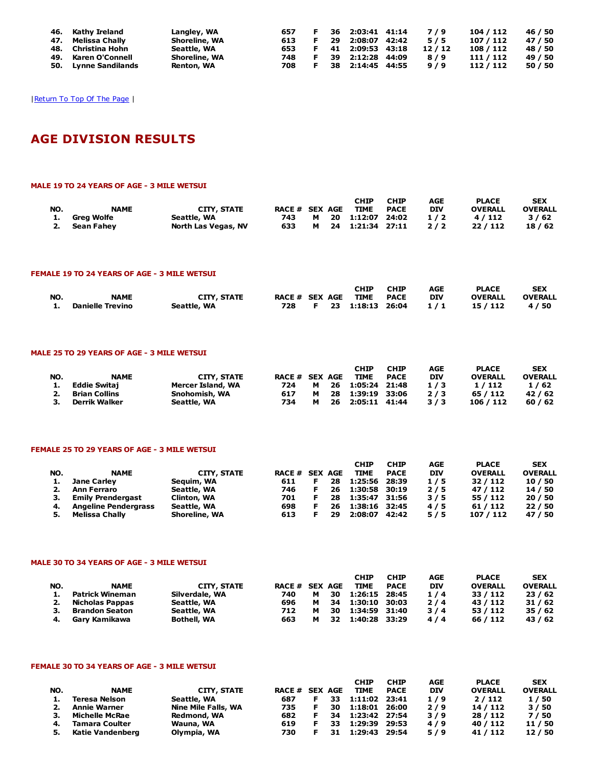| 46. Kathy Ireland    | Langley, WA          | 657 |    | 36 2:03:41 41:14 | 7/9   | 104 / 112 | 46 / 50 |
|----------------------|----------------------|-----|----|------------------|-------|-----------|---------|
| 47. Melissa Chally   | <b>Shoreline, WA</b> | 613 | 29 | 2:08:07 42:42    | 5/5   | 107 / 112 | 47 / 50 |
| 48. Christina Hohn   | Seattle, WA          | 653 |    | 41 2:09:53 43:18 | 12/12 | 108 / 112 | 48 / 50 |
| 49. Karen O'Connell  | <b>Shoreline, WA</b> | 748 |    | 39 2:12:28 44:09 | 8/9   | 111 / 112 | 49 / 50 |
| 50. Lynne Sandilands | Renton, WA           | 708 |    | 38 2:14:45 44:55 | 9/9   | 112/112   | 50 / 50 |

# AGE DIVISION RESULTS

#### MALE 19 TO 24 YEARS OF AGE - 3 MILE WETSUI

|     |               |                     |                |          | СНІР             | <b>CHIP</b> | AGE        | <b>PLACE</b>   | <b>SEX</b>     |
|-----|---------------|---------------------|----------------|----------|------------------|-------------|------------|----------------|----------------|
| NO. | <b>NAME</b>   | <b>CITY, STATE</b>  | RACE # SEX AGE |          | <b>TIME</b>      | <b>PACE</b> | <b>DIV</b> | <b>OVERALL</b> | <b>OVERALL</b> |
|     | 1. Grea Wolfe | Seattle, WA         | 743            | <b>M</b> | 20 1:12:07 24:02 |             | 1/2        | 4/112          | 3/62           |
|     | 2. Sean Fahev | North Las Vegas, NV | 633            | м        | 24 1:21:34 27:11 |             | 2/2        | 22/112         | 18/62          |

#### FEMALE 19 TO 24 YEARS OF AGE - 3 MILE WETSUI

|     |                     |                    |                       |  | <b>CHIP</b>            | <b>CHIP</b> | AGE | <b>PLACE</b>   | <b>SEX</b>     |
|-----|---------------------|--------------------|-----------------------|--|------------------------|-------------|-----|----------------|----------------|
| NO. | <b>NAME</b>         | <b>CITY, STATE</b> | <b>RACE # SEX AGE</b> |  | <b>TIME</b>            | <b>PACE</b> | DIV | <b>OVERALL</b> | <b>OVERALL</b> |
|     | 1. Danielle Trevino | Seattle, WA        |                       |  | 728 F 23 1:18:13 26:04 |             | 1/1 | 15 / 112       | 4/50           |

#### MALE 25 TO 29 YEARS OF AGE - 3 MILE WETSUI

|     |                     |                   |                       |   |      | CHIP          | <b>CHIP</b> | AGE        | <b>PLACE</b>   | <b>SEX</b>     |
|-----|---------------------|-------------------|-----------------------|---|------|---------------|-------------|------------|----------------|----------------|
| NO. | <b>NAME</b>         | CITY, STATE       | <b>RACE # SEX AGE</b> |   |      | <b>TIME</b>   | <b>PACE</b> | <b>DIV</b> | <b>OVERALL</b> | <b>OVERALL</b> |
|     | <b>Eddie Switai</b> | Mercer Island, WA | 724                   | M | - 26 | 1:05:24 21:48 |             | 1/3        | 1/112          | 1/62           |
|     | Brian Collins       | Snohomish, WA     | 617                   | м | - 28 | 1:39:19 33:06 |             | 2/3        | 65 / 112       | 42/62          |
| з.  | Derrik Walker       | Seattle, WA       | 734                   | м | - 26 | 2:05:11 41:44 |             | 3/3        | 106 / 112      | 60/62          |

# FEMALE 25 TO 29 YEARS OF AGE - 3 MILE WETSUI

|     |                             |                      |                |    | <b>CHIP</b>   | <b>CHIP</b> | AGE        | <b>PLACE</b>   | <b>SEX</b>     |
|-----|-----------------------------|----------------------|----------------|----|---------------|-------------|------------|----------------|----------------|
| NO. | <b>NAME</b>                 | CITY, STATE          | RACE # SEX AGE |    | <b>TIME</b>   | <b>PACE</b> | <b>DIV</b> | <b>OVERALL</b> | <b>OVERALL</b> |
| ı.  | <b>Jane Carley</b>          | Seguim, WA           | 611            | 28 | 1:25:56       | 28:39       | 1/5        | 32/112         | 10/50          |
| 2.  | Ann Ferraro                 | Seattle, WA          | 746            | 26 | 1:30:58 30:19 |             | 2/5        | 47 / 112       | 14 / 50        |
|     | <b>Emily Prendergast</b>    | <b>Clinton, WA</b>   | 701            | 28 | 1:35:47 31:56 |             | 3/5        | 55 / 112       | 20/50          |
| 4.  | <b>Angeline Pendergrass</b> | Seattle, WA          | 698            | 26 | 1:38:16 32:45 |             | 4/5        | 61/112         | 22/50          |
|     | Melissa Chally              | <b>Shoreline, WA</b> | 613            | 29 | 2:08:07       | 42:42       | 5/5        | 107 / 112      | 47 / 50        |

#### MALE 30 TO 34 YEARS OF AGE - 3 MILE WETSUI

| NO. | <b>NAME</b>     | <b>CITY, STATE</b> | <b>RACE # SEX AGE</b> |   |    | <b>CHIP</b><br><b>TIME</b> | <b>CHIP</b><br><b>PACE</b> | AGE<br><b>DIV</b> | <b>PLACE</b><br><b>OVERALL</b> | <b>SEX</b><br><b>OVERALL</b> |
|-----|-----------------|--------------------|-----------------------|---|----|----------------------------|----------------------------|-------------------|--------------------------------|------------------------------|
| 1.  | Patrick Wineman | Silverdale, WA     | 740                   | м | 30 | 1:26:15 28:45              |                            | 1/4               | 33 / 112                       | 23/62                        |
| 2.  | Nicholas Pappas | Seattle, WA        | 696                   | м | 34 | 1:30:10 30:03              |                            | 2/4               | 43 / 112                       | 31/62                        |
| з.  | Brandon Seaton  | Seattle, WA        | 712                   | м | 30 | 1:34:59 31:40              |                            | 3/4               | 53 / 112                       | 35/62                        |
| -4. | Garv Kamikawa   | <b>Bothell, WA</b> | 663                   | м | 32 | 1:40:28 33:29              |                            | 4/4               | 66 / 112                       | 43 / 62                      |

# FEMALE 30 TO 34 YEARS OF AGE - 3 MILE WETSUI

| NO. | <b>NAME</b>           | <b>CITY, STATE</b>  | RACE # SEX AGE |    |     | <b>CHIP</b><br><b>TIME</b> | <b>CHIP</b><br><b>PACE</b> | AGE<br><b>DIV</b> | <b>PLACE</b><br><b>OVERALL</b> | <b>SEX</b><br><b>OVERALL</b> |
|-----|-----------------------|---------------------|----------------|----|-----|----------------------------|----------------------------|-------------------|--------------------------------|------------------------------|
|     | <b>Teresa Nelson</b>  | Seattle, WA         | 687            | F. | 33. | 1:11:02 23:41              |                            | 1/9               | 2/112                          | 1/50                         |
| 2.  | <b>Annie Warner</b>   | Nine Mile Falls, WA | 735            | F  | 30  | 1:18:01 26:00              |                            | 2/9               | 14 / 112                       | 3/50                         |
|     | <b>Michelle McRae</b> | Redmond, WA         | 682            | F. | 34  | 1:23:42 27:54              |                            | 3/9               | 28 / 112                       | 7 / 50                       |
| 4.  | <b>Tamara Coulter</b> | Wauna, WA           | 619            |    | 33  | 1:29:39                    | 29:53                      | 4/9               | 40 / 112                       | 11 / 50                      |
| 5.  | Katie Vandenberg      | Olympia, WA         | 730            |    | 31  | 1:29:43 29:54              |                            | 5/9               | 41 / 112                       | 12 / 50                      |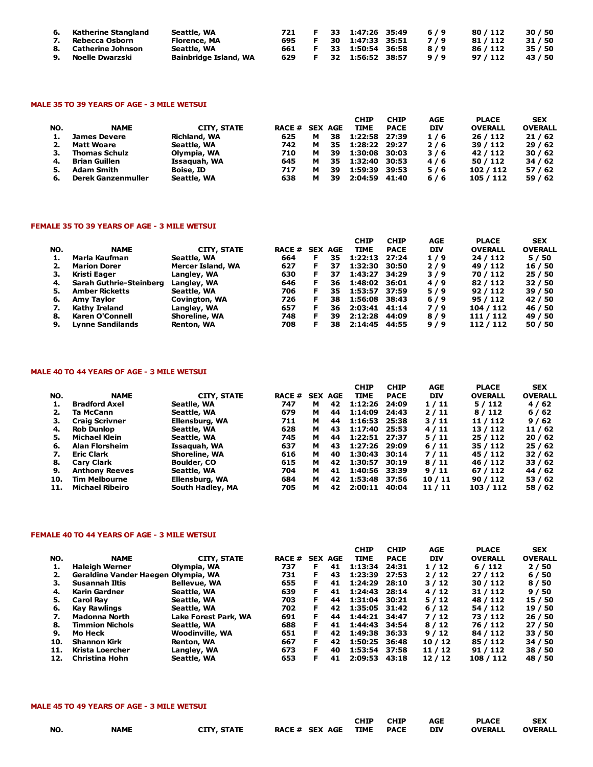| 6.<br>7. | Katherine Stangland<br>Rebecca Osborn      | Seattle, WA<br>Florence, MA                 | 721<br>695 | - F       | 33 1:47:26 35:49<br>30 1:47:33 35:51 | 6/9<br>7/9 | 80 / 112<br>81 / 112 | 30/50<br>31 / 50   |
|----------|--------------------------------------------|---------------------------------------------|------------|-----------|--------------------------------------|------------|----------------------|--------------------|
|          | 8. Catherine Johnson<br>9. Noelle Dwarzski | Seattle, WA<br><b>Bainbridge Island, WA</b> | 661<br>629 | F.<br>.F. | 33 1:50:54 36:58<br>32 1:56:52 38:57 | 8/9<br>9/9 | 86 / 112<br>97 / 112 | 35 / 50<br>43 / 50 |

#### MALE 35 TO 39 YEARS OF AGE - 3 MILE WETSUI

| NO. | <b>NAME</b>          | CITY, STATE         | <b>RACE # SEX AGE</b> |   |    | <b>CHIP</b><br><b>TIME</b> | <b>CHIP</b><br><b>PACE</b> | AGE<br><b>DIV</b> | <b>PLACE</b><br><b>OVERALL</b> | <b>SEX</b><br><b>OVERALL</b> |
|-----|----------------------|---------------------|-----------------------|---|----|----------------------------|----------------------------|-------------------|--------------------------------|------------------------------|
| ı.  | <b>James Devere</b>  | <b>Richland, WA</b> | 625                   | м | 38 | 1:22:58 27:39              |                            | 1/6               | 26/112                         | 21/62                        |
|     | <b>Matt Woare</b>    | Seattle, WA         | 742                   | м | 35 | 1:28:22 29:27              |                            | 2/6               | 39 / 112                       | 29/62                        |
| з.  | <b>Thomas Schulz</b> | Olympia, WA         | 710                   | м | 39 | 1:30:08                    | 30:03                      | 3/6               | 42/112                         | 30/62                        |
| 4.  | <b>Brian Guillen</b> | Issaquah, WA        | 645                   | м | 35 | 1:32:40                    | 30:53                      | 4/6               | 50/112                         | 34/62                        |
|     | <b>Adam Smith</b>    | Boise, ID           | 717                   | м | 39 | 1:59:39                    | 39:53                      | 5/6               | 102/112                        | 57/62                        |
| 6.  | Derek Ganzenmuller   | Seattle, WA         | 638                   | м | 39 | 2:04:59                    | 41:40                      | 6/6               | 105 / 112                      | 59/62                        |

### FEMALE 35 TO 39 YEARS OF AGE - 3 MILE WETSUI

|     |                                |                      |                |    |    | <b>CHIP</b>   | <b>CHIP</b> | AGE        | <b>PLACE</b>   | <b>SEX</b>     |
|-----|--------------------------------|----------------------|----------------|----|----|---------------|-------------|------------|----------------|----------------|
| NO. | <b>NAME</b>                    | CITY, STATE          | RACE # SEX AGE |    |    | <b>TIME</b>   | <b>PACE</b> | <b>DIV</b> | <b>OVERALL</b> | <b>OVERALL</b> |
|     | Marla Kaufman                  | Seattle, WA          | 664            | F  | 35 | 1:22:13       | 27:24       | 1/9        | 24/112         | 5/50           |
| 2.  | <b>Marion Dorer</b>            | Mercer Island, WA    | 627            |    | 37 | 1:32:30       | 30:50       | 2/9        | 49 / 112       | 16 / 50        |
| з.  | Kristi Eager                   | Langley, WA          | 630            | F. | 37 | 1:43:27       | 34:29       | 3/9        | 70 / 112       | 25/50          |
| 4.  | <b>Sarah Guthrie-Steinberg</b> | Langley, WA          | 646            |    | 36 | 1:48:02       | 36:01       | 4/9        | 82/112         | 32/50          |
| 5.  | <b>Amber Ricketts</b>          | Seattle, WA          | 706            | F  | 35 | 1:53:57 37:59 |             | 5/9        | 92/112         | 39 / 50        |
| 6.  | Amy Taylor                     | <b>Covington, WA</b> | 726            |    | 38 | 1:56:08       | 38:43       | $6/9$      | 95 / 112       | 42 / 50        |
| 7.  | <b>Kathy Ireland</b>           | Langley, WA          | 657            | F  | 36 | 2:03:41 41:14 |             | 7/9        | 104 / 112      | 46 / 50        |
| 8.  | Karen O'Connell                | Shoreline, WA        | 748            |    | 39 | 2:12:28       | 44:09       | 8/9        | 111 / 112      | 49 / 50        |
| 9.  | <b>Lynne Sandilands</b>        | Renton, WA           | 708            |    | 38 | 2:14:45       | 44:55       | 9/9        | 112/112        | 50 / 50        |

# MALE 40 TO 44 YEARS OF AGE - 3 MILE WETSUI

|     |                        |                    |               |                |    | <b>CHIP</b>   | <b>CHIP</b> | <b>AGE</b> | <b>PLACE</b>   | <b>SEX</b>     |
|-----|------------------------|--------------------|---------------|----------------|----|---------------|-------------|------------|----------------|----------------|
| NO. | <b>NAME</b>            | <b>CITY, STATE</b> | <b>RACE #</b> | <b>SEX AGE</b> |    | <b>TIME</b>   | <b>PACE</b> | <b>DIV</b> | <b>OVERALL</b> | <b>OVERALL</b> |
|     | <b>Bradford Axel</b>   | Seatlle, WA        | 747           | м              | 42 | 1:12:26       | 24:09       | 1/11       | 5/112          | 4/62           |
|     | Ta McCann              | Seattle, WA        | 679           | м              | 44 | 1:14:09       | 24:43       | 2/11       | 8/112          | 6/62           |
| з.  | <b>Craig Scrivner</b>  | Ellensburg, WA     | 711           | м              | 44 | 1:16:53       | 25:38       | 3/11       | 11 / 112       | 9/62           |
| 4.  | <b>Rob Dunlop</b>      | Seattle, WA        | 628           | м              | 43 | 1:17:40       | 25:53       | 4/11       | 13/112         | 11/62          |
| 5.  | Michael Klein          | Seattle, WA        | 745           | м              | 44 | 1:22:51 27:37 |             | 5/11       | 25 / 112       | 20/62          |
| 6.  | <b>Alan Florsheim</b>  | Issaquah, WA       | 637           | м              | 43 | 1:27:26       | 29:09       | 6/11       | 35 / 112       | 25/62          |
| 7.  | <b>Eric Clark</b>      | Shoreline, WA      | 616           | м              | 40 | 1:30:43       | 30:14       | 7/11       | 45 / 112       | 32 / 62        |
| 8.  | <b>Cary Clark</b>      | Boulder, CO        | 615           | м              | 42 | 1:30:57 30:19 |             | 8/11       | 46 / 112       | 33/62          |
| 9.  | <b>Anthony Reeves</b>  | Seattle, WA        | 704           | м              | 41 | 1:40:56 33:39 |             | 9/11       | 67 / 112       | 44 / 62        |
| 10. | <b>Tim Melbourne</b>   | Ellensburg, WA     | 684           | м              | 42 | 1:53:48 37:56 |             | 10/11      | 90/112         | 53 / 62        |
| 11. | <b>Michael Ribeiro</b> | South Hadley, MA   | 705           | м              | 42 | 2:00:11       | 40:04       | 11 / 11    | 103 / 112      | 58 / 62        |

#### FEMALE 40 TO 44 YEARS OF AGE - 3 MILE WETSUI

|     |                                     |                        |               |    |                | <b>CHIP</b>   | <b>CHIP</b> | AGE        | <b>PLACE</b>   | <b>SEX</b>     |
|-----|-------------------------------------|------------------------|---------------|----|----------------|---------------|-------------|------------|----------------|----------------|
| NO. | <b>NAME</b>                         | <b>CITY, STATE</b>     | <b>RACE #</b> |    | <b>SEX AGE</b> | <b>TIME</b>   | <b>PACE</b> | <b>DIV</b> | <b>OVERALL</b> | <b>OVERALL</b> |
|     | <b>Haleigh Werner</b>               | Olympia, WA            | 737           | F  | 41             | 1:13:34       | 24:31       | 1/12       | 6/112          | 2/50           |
|     | Geraldine Vander Haegen Olympia, WA |                        | 731           | F  | 43             | 1:23:39       | 27:53       | 2/12       | 27/112         | 6/50           |
|     | Susannah Iltis                      | <b>Bellevue, WA</b>    | 655           | F  | 41             | 1:24:29       | 28:10       | 3/12       | 30/112         | 8/50           |
| 4.  | Karin Gardner                       | Seattle, WA            | 639           |    | 41             | 1:24:43       | 28:14       | 4/12       | 31 / 112       | 9/50           |
| 5.  | <b>Carol Rav</b>                    | Seattle, WA            | 703           | F  | 44             | 1:31:04       | 30:21       | 5/12       | 48 / 112       | 15 / 50        |
| 6.  | <b>Kay Rawlings</b>                 | Seattle, WA            | 702           | F. | 42             | 1:35:05 31:42 |             | 6/12       | 54 / 112       | 19 / 50        |
|     | Madonna North                       | Lake Forest Park, WA   | 691           | F. | 44             | 1:44:21 34:47 |             | 7/12       | 73 / 112       | 26/50          |
| 8.  | <b>Timmion Nichols</b>              | Seattle, WA            | 688           | F. | 41             | 1:44:43       | 34:54       | 8/12       | 76 / 112       | 27/50          |
| 9.  | Mo Heck                             | <b>Woodinville, WA</b> | 651           | F  | 42             | 1:49:38       | 36:33       | 9/12       | 84 / 112       | 33 / 50        |
| 10. | <b>Shannon Kirk</b>                 | Renton, WA             | 667           | F. | 42             | 1:50:25       | 36:48       | 10/12      | 85 / 112       | 34 / 50        |
| 11. | Krista Loercher                     | Langley, WA            | 673           | F  | 40             | 1:53:54       | 37:58       | 11 / 12    | 91 / 112       | 38 / 50        |
| 12. | Christina Hohn                      | Seattle, WA            | 653           | F  | 41             | 2:09:53       | 43:18       | 12/12      | 108 / 112      | 48 / 50        |

#### MALE 45 TO 49 YEARS OF AGE - 3 MILE WETSUI

|           |             |                    |                       | СНІР        | <b>CHIP</b> | <b>AGE</b> | <b>PLACE</b>   | SEX            |
|-----------|-------------|--------------------|-----------------------|-------------|-------------|------------|----------------|----------------|
| <b>NO</b> | <b>NAME</b> | <b>CITY, STATE</b> | <b>RACE # SEX AGE</b> | <b>TIME</b> | PACE        | <b>DIV</b> | <b>OVERALL</b> | <b>OVERALL</b> |
| ____      |             |                    |                       |             |             |            |                |                |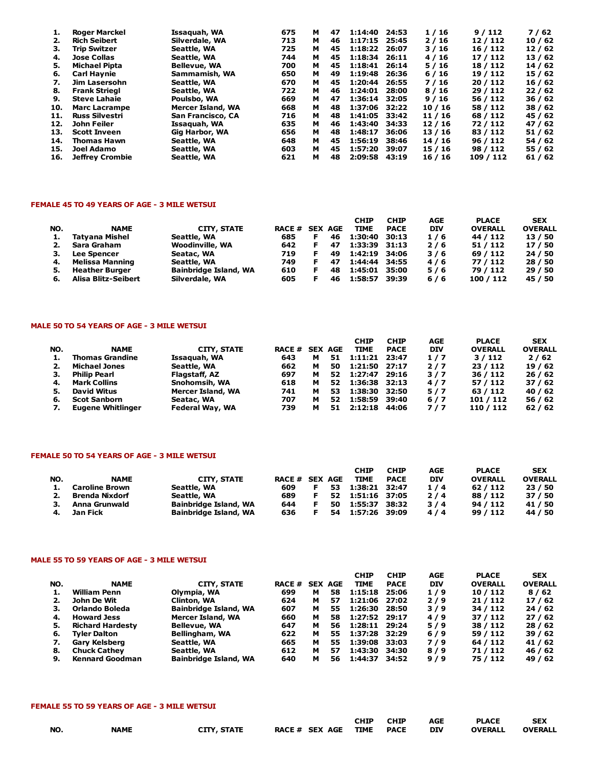| 1.  | Roger Marckel          | Issaguah, WA        | 675 | м | 47 | 1:14:40       | 24:53 | 1/16  | 9/112     | 7/62    |
|-----|------------------------|---------------------|-----|---|----|---------------|-------|-------|-----------|---------|
| 2.  | <b>Rich Seibert</b>    | Silverdale, WA      | 713 | м | 46 | 1:17:15 25:45 |       | 2/16  | 12/112    | 10/62   |
| з.  | <b>Trip Switzer</b>    | Seattle, WA         | 725 | м | 45 | 1:18:22       | 26:07 | 3/16  | 16 / 112  | 12/62   |
| 4.  | <b>Jose Collas</b>     | Seattle, WA         | 744 | м | 45 | 1:18:34       | 26:11 | 4/16  | 17/112    | 13 / 62 |
| 5.  | <b>Michael Pipta</b>   | <b>Bellevue, WA</b> | 700 | м | 45 | 1:18:41       | 26:14 | 5/16  | 18 / 112  | 14 / 62 |
| 6.  | <b>Carl Havnie</b>     | Sammamish, WA       | 650 | м | 49 | 1:19:48       | 26:36 | 6/16  | 19 / 112  | 15 / 62 |
| 7.  | Jim Lasersohn          | Seattle, WA         | 670 | м | 45 | 1:20:44       | 26:55 | 7/16  | 20/112    | 16/62   |
| 8.  | <b>Frank Striegl</b>   | Seattle, WA         | 722 | м | 46 | 1:24:01       | 28:00 | 8/16  | 29/112    | 22/62   |
| 9.  | <b>Steve Lahaie</b>    | Poulsbo, WA         | 669 | м | 47 | 1:36:14       | 32:05 | 9/16  | 56 / 112  | 36 / 62 |
| 10. | <b>Marc Lacrampe</b>   | Mercer Island, WA   | 668 | м | 48 | 1:37:06 32:22 |       | 10/16 | 58 / 112  | 38 / 62 |
| 11. | <b>Russ Silvestri</b>  | San Francisco, CA   | 716 | м | 48 | 1:41:05       | 33:42 | 11/16 | 68 / 112  | 45 / 62 |
| 12. | John Feiler            | Issaquah, WA        | 635 | м | 46 | 1:43:40       | 34:33 | 12/16 | 72/112    | 47 / 62 |
| 13. | <b>Scott Inveen</b>    | Gig Harbor, WA      | 656 | м | 48 | 1:48:17       | 36:06 | 13/16 | 83 / 112  | 51/62   |
| 14. | <b>Thomas Hawn</b>     | Seattle, WA         | 648 | м | 45 | 1:56:19       | 38:46 | 14/16 | 96/112    | 54/62   |
| 15. | Joel Adamo             | Seattle, WA         | 603 | м | 45 | 1:57:20       | 39:07 | 15/16 | 98 / 112  | 55 / 62 |
| 16. | <b>Jeffrey Crombie</b> | Seattle, WA         | 621 | м | 48 | 2:09:58       | 43:19 | 16/16 | 109 / 112 | 61/62   |

#### FEMALE 45 TO 49 YEARS OF AGE - 3 MILE WETSUI

|     |                       |                        |                |    | <b>CHIP</b>   | <b>CHIP</b> | AGE        | <b>PLACE</b>   | <b>SEX</b>     |
|-----|-----------------------|------------------------|----------------|----|---------------|-------------|------------|----------------|----------------|
| NO. | <b>NAME</b>           | CITY, STATE            | RACE # SEX AGE |    | <b>TIME</b>   | <b>PACE</b> | <b>DIV</b> | <b>OVERALL</b> | <b>OVERALL</b> |
|     | Tatyana Mishel        | Seattle, WA            | 685            | 46 | 1:30:40       | 30:13       | 1/6        | 44 / 112       | 13 / 50        |
|     | Sara Graham           | <b>Woodinville, WA</b> | 642            | 47 | 1:33:39 31:13 |             | 2/6        | 51 / 112       | 17 / 50        |
|     | <b>Lee Spencer</b>    | Seatac, WA             | 719            | 49 | 1:42:19 34:06 |             | 3/6        | 69 / 112       | 24 / 50        |
| 4.  | Melissa Manning       | Seattle, WA            | 749            | 47 | 1:44:44 34:55 |             | 4/6        | 77 / 112       | 28 / 50        |
| 5.  | <b>Heather Burger</b> | Bainbridge Island, WA  | 610            | 48 | 1:45:01 35:00 |             | 5/6        | 79 / 112       | 29/50          |
|     | Alisa Blitz-Seibert   | Silverdale, WA         | 605            | 46 | 1:58:57       | 39:39       | 6/6        | 100 / 112      | 45 / 50        |

# MALE 50 TO 54 YEARS OF AGE - 3 MILE WETSUI

|     |                          |                   |                |   |    | <b>CHIP</b>   | <b>CHIP</b> | AGE        | <b>PLACE</b>   | <b>SEX</b>     |
|-----|--------------------------|-------------------|----------------|---|----|---------------|-------------|------------|----------------|----------------|
| NO. | <b>NAME</b>              | CITY, STATE       | RACE # SEX AGE |   |    | <b>TIME</b>   | <b>PACE</b> | <b>DIV</b> | <b>OVERALL</b> | <b>OVERALL</b> |
|     | <b>Thomas Grandine</b>   | Issaquah, WA      | 643            | м | 51 | 1:11:21 23:47 |             | 1/7        | 3/112          | 2/62           |
| 2.  | <b>Michael Jones</b>     | Seattle, WA       | 662            | м | 50 | 1:21:50 27:17 |             | 2/7        | 23/112         | 19/62          |
| з.  | Philip Pearl             | Flagstaff, AZ     | 697            | м | 52 | 1:27:47 29:16 |             | 3/7        | 36/112         | 26/62          |
| 4.  | <b>Mark Collins</b>      | Snohomsih, WA     | 618            | м | 52 | 1:36:38 32:13 |             | 4/7        | 57 / 112       | 37/62          |
| 5.  | David Witus              | Mercer Island, WA | 741            | м | 53 | 1:38:30 32:50 |             | 5/7        | 63 / 112       | 40 / 62        |
| 6.  | <b>Scot Sanborn</b>      | Seatac, WA        | 707            | м | 52 | 1:58:59 39:40 |             | $6/7$      | 101 / 112      | 56/62          |
| 7.  | <b>Eugene Whitlinger</b> | Federal Way, WA   | 739            |   | 51 | 2:12:18       | 44:06       | 7/7        | 110 / 112      | 62/62          |

#### FEMALE 50 TO 54 YEARS OF AGE - 3 MILE WETSUI

|     |                       |                              |                |     | <b>CHIP</b>   | <b>CHIP</b> | AGE        | <b>PLACE</b>   | <b>SEX</b>     |
|-----|-----------------------|------------------------------|----------------|-----|---------------|-------------|------------|----------------|----------------|
| NO. | <b>NAME</b>           | CITY, STATE                  | RACE # SEX AGE |     | <b>TIME</b>   | <b>PACE</b> | <b>DIV</b> | <b>OVERALL</b> | <b>OVERALL</b> |
|     | <b>Caroline Brown</b> | Seattle, WA                  | 609            | 53. | 1:38:21 32:47 |             | 1/4        | 62/112         | 23/50          |
|     | 2. Brenda Nixdorf     | Seattle, WA                  | 689            | 52  | 1:51:16 37:05 |             | $2/4$      | 88 / 112       | 37/50          |
|     | Anna Grunwald         | <b>Bainbridge Island, WA</b> | 644            | 50  | 1:55:37 38:32 |             | 3/4        | 94 / 112       | 41 / 50        |
|     | Jan Fick              | <b>Bainbridge Island, WA</b> | 636            | 54  | 1:57:26 39:09 |             | 4/4        | 99 / 112       | 44 / 50        |

# MALE 55 TO 59 YEARS OF AGE - 3 MILE WETSUI

|     |                         |                              |                |   |    | <b>CHIP</b>   | <b>CHIP</b> | AGE        | <b>PLACE</b>   | <b>SEX</b>     |
|-----|-------------------------|------------------------------|----------------|---|----|---------------|-------------|------------|----------------|----------------|
| NO. | <b>NAME</b>             | CITY, STATE                  | RACE # SEX AGE |   |    | <b>TIME</b>   | <b>PACE</b> | <b>DIV</b> | <b>OVERALL</b> | <b>OVERALL</b> |
|     | William Penn            | Olympia, WA                  | 699            | м | 58 | 1:15:18 25:06 |             | 1/9        | 10 / 112       | 8/62           |
|     | John De Wit             | Clinton, WA                  | 624            | м | 57 | 1:21:06 27:02 |             | 2/9        | 21 / 112       | 17/62          |
| з.  | Orlando Boleda          | <b>Bainbridge Island, WA</b> | 607            | м | 55 | 1:26:30       | 28:50       | 3/9        | 34 / 112       | 24/62          |
| 4.  | <b>Howard Jess</b>      | Mercer Island, WA            | 660            | м | 58 | 1:27:52 29:17 |             | 4/9        | 37 / 112       | 27/62          |
| 5.  | <b>Richard Hardesty</b> | <b>Bellevue, WA</b>          | 647            | м | 56 | 1:28:11 29:24 |             | 5/9        | 38 / 112       | 28/62          |
| 6.  | <b>Tyler Dalton</b>     | Bellingham, WA               | 622            | м | 55 | 1:37:28 32:29 |             | 6/9        | 59 / 112       | 39/62          |
| 7.  | Gary Kelsberg           | Seattle, WA                  | 665            | м | 55 | 1:39:08       | 33:03       | 7/9        | 64 / 112       | 41 / 62        |
| 8.  | <b>Chuck Cathey</b>     | Seattle, WA                  | 612            | м | 57 | 1:43:30       | 34:30       | 8/9        | 71/112         | 46 / 62        |
| 9.  | <b>Kennard Goodman</b>  | <b>Bainbridge Island, WA</b> | 640            | м | 56 | 1:44:37       | 34:52       | $9/9$      | 75 / 112       | 49 / 62        |

#### FEMALE 55 TO 59 YEARS OF AGE - 3 MILE WETSUI

|     |             |             |                          | <b>CHIP</b> | CHIP | <b>AGE</b> | <b>PLACE</b>   | <b>SEX</b>     |
|-----|-------------|-------------|--------------------------|-------------|------|------------|----------------|----------------|
| NO. | <b>NAME</b> | CITY, STATE | RACE # SEX AGE TIME PACE |             |      | <b>DIV</b> | <b>OVERALL</b> | <b>OVERALL</b> |